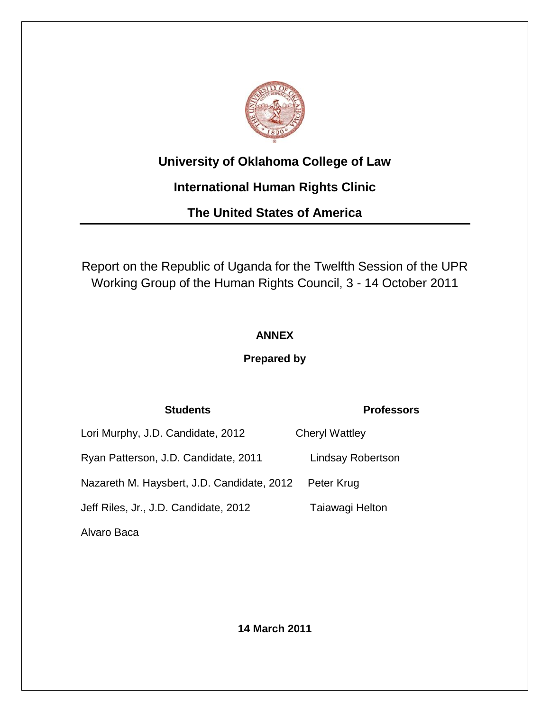

# **University of Oklahoma College of Law**

# **International Human Rights Clinic**

**The United States of America**

Report on the Republic of Uganda for the Twelfth Session of the UPR Working Group of the Human Rights Council, 3 - 14 October 2011

# **ANNEX**

# **Prepared by**

# **Students Professors**

| Lori Murphy, J.D. Candidate, 2012          | <b>Cheryl Wattley</b>    |
|--------------------------------------------|--------------------------|
| Ryan Patterson, J.D. Candidate, 2011       | <b>Lindsay Robertson</b> |
| Nazareth M. Haysbert, J.D. Candidate, 2012 | Peter Krug               |
| Jeff Riles, Jr., J.D. Candidate, 2012      | Taiawagi Helton          |
| Alvaro Baca                                |                          |

**14 March 2011**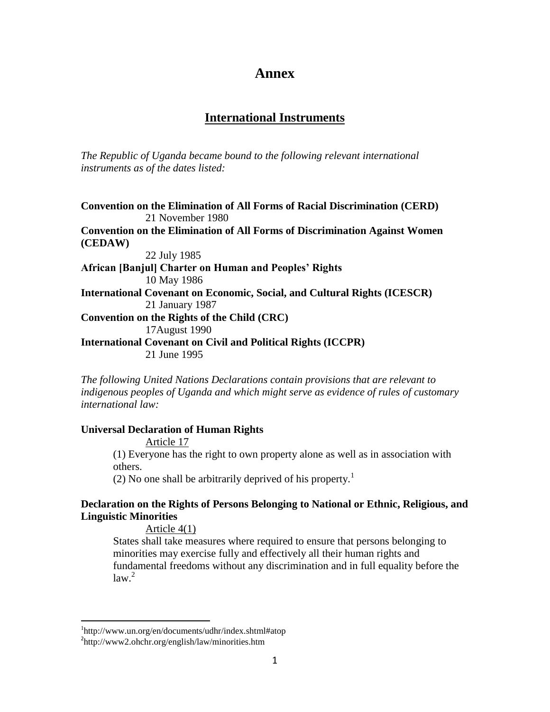# **Annex**

# **International Instruments**

*The Republic of Uganda became bound to the following relevant international instruments as of the dates listed:* 

**Convention on the Elimination of All Forms of Racial Discrimination (CERD)** 21 November 1980 **Convention on the Elimination of All Forms of Discrimination Against Women (CEDAW)** 22 July 1985 **African [Banjul] Charter on Human and Peoples' Rights** 10 May 1986 **International Covenant on Economic, Social, and Cultural Rights (ICESCR)** 21 January 1987 **Convention on the Rights of the Child (CRC)** 17August 1990 **International Covenant on Civil and Political Rights (ICCPR)** 21 June 1995

*The following United Nations Declarations contain provisions that are relevant to indigenous peoples of Uganda and which might serve as evidence of rules of customary international law:* 

#### **Universal Declaration of Human Rights**

Article 17 (1) Everyone has the right to own property alone as well as in association with others.

(2) No one shall be arbitrarily deprived of his property.<sup>1</sup>

# **Declaration on the Rights of Persons Belonging to National or Ethnic, Religious, and Linguistic Minorities**

Article 4(1)

States shall take measures where required to ensure that persons belonging to minorities may exercise fully and effectively all their human rights and fundamental freedoms without any discrimination and in full equality before the  $law<sup>2</sup>$ 

<sup>1</sup> <http://www.un.org/en/documents/udhr/index.shtml#atop>

<sup>&</sup>lt;sup>2</sup>http://www2.ohchr.org/english/law/minorities.htm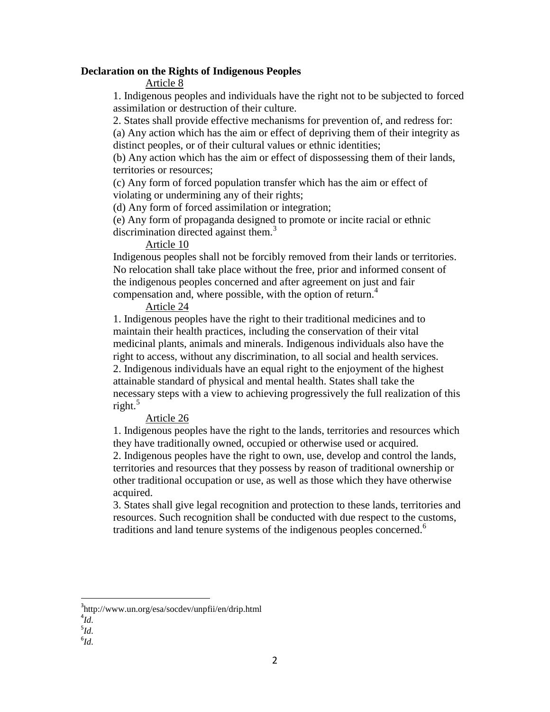#### **Declaration on the Rights of Indigenous Peoples**

Article 8

1. Indigenous peoples and individuals have the right not to be subjected to forced assimilation or destruction of their culture.

2. States shall provide effective mechanisms for prevention of, and redress for: (a) Any action which has the aim or effect of depriving them of their integrity as

distinct peoples, or of their cultural values or ethnic identities;

(b) Any action which has the aim or effect of dispossessing them of their lands, territories or resources;

(c) Any form of forced population transfer which has the aim or effect of violating or undermining any of their rights;

(d) Any form of forced assimilation or integration;

(e) Any form of propaganda designed to promote or incite racial or ethnic discrimination directed against them.<sup>3</sup>

## Article 10

Indigenous peoples shall not be forcibly removed from their lands or territories. No relocation shall take place without the free, prior and informed consent of the indigenous peoples concerned and after agreement on just and fair compensation and, where possible, with the option of return.<sup>4</sup>

### Article 24

1. Indigenous peoples have the right to their traditional medicines and to maintain their health practices, including the conservation of their vital medicinal plants, animals and minerals. Indigenous individuals also have the right to access, without any discrimination, to all social and health services. 2. Indigenous individuals have an equal right to the enjoyment of the highest attainable standard of physical and mental health. States shall take the necessary steps with a view to achieving progressively the full realization of this right. $5$ 

## Article 26

1. Indigenous peoples have the right to the lands, territories and resources which they have traditionally owned, occupied or otherwise used or acquired. 2. Indigenous peoples have the right to own, use, develop and control the lands, territories and resources that they possess by reason of traditional ownership or other traditional occupation or use, as well as those which they have otherwise acquired.

3. States shall give legal recognition and protection to these lands, territories and resources. Such recognition shall be conducted with due respect to the customs, traditions and land tenure systems of the indigenous peoples concerned.<sup>6</sup>

 $\overline{a}$ 

6 *Id.*

<sup>3</sup> http://www.un.org/esa/socdev/unpfii/en/drip.html

<sup>4</sup> *Id.*

<sup>5</sup> *Id.*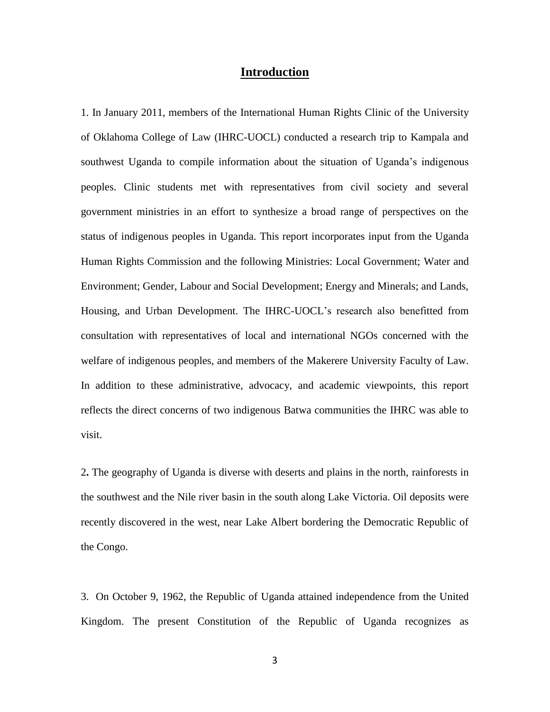### **Introduction**

1. In January 2011, members of the International Human Rights Clinic of the University of Oklahoma College of Law (IHRC-UOCL) conducted a research trip to Kampala and southwest Uganda to compile information about the situation of Uganda's indigenous peoples. Clinic students met with representatives from civil society and several government ministries in an effort to synthesize a broad range of perspectives on the status of indigenous peoples in Uganda. This report incorporates input from the Uganda Human Rights Commission and the following Ministries: Local Government; Water and Environment; Gender, Labour and Social Development; Energy and Minerals; and Lands, Housing, and Urban Development. The IHRC-UOCL's research also benefitted from consultation with representatives of local and international NGOs concerned with the welfare of indigenous peoples, and members of the Makerere University Faculty of Law. In addition to these administrative, advocacy, and academic viewpoints, this report reflects the direct concerns of two indigenous Batwa communities the IHRC was able to visit.

2**.** The geography of Uganda is diverse with deserts and plains in the north, rainforests in the southwest and the Nile river basin in the south along Lake Victoria. Oil deposits were recently discovered in the west, near Lake Albert bordering the Democratic Republic of the Congo.

3. On October 9, 1962, the Republic of Uganda attained independence from the United Kingdom. The present Constitution of the Republic of Uganda recognizes as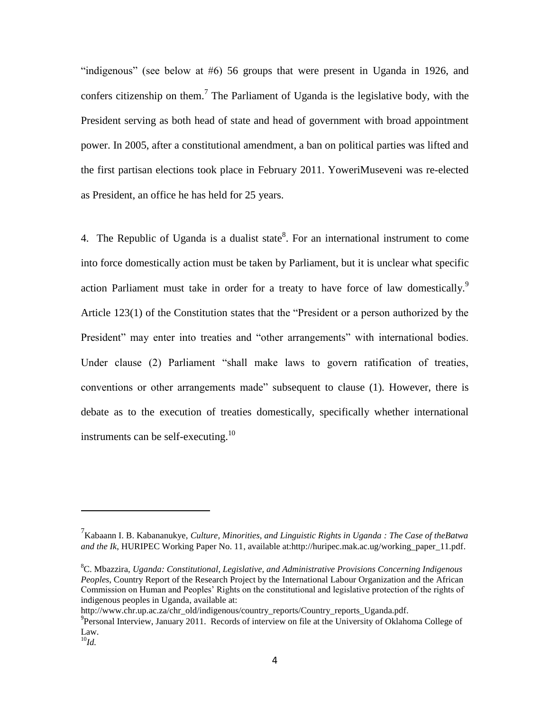"indigenous" (see below at  $#6$ ) 56 groups that were present in Uganda in 1926, and confers citizenship on them.<sup>7</sup> The Parliament of Uganda is the legislative body, with the President serving as both head of state and head of government with broad appointment power. In 2005, after a constitutional amendment, a ban on political parties was lifted and the first partisan elections took place in February 2011. YoweriMuseveni was re-elected as President, an office he has held for 25 years.

4. The Republic of Uganda is a dualist state<sup>8</sup>. For an international instrument to come into force domestically action must be taken by Parliament, but it is unclear what specific action Parliament must take in order for a treaty to have force of law domestically.<sup>9</sup> Article  $123(1)$  of the Constitution states that the "President or a person authorized by the President" may enter into treaties and "other arrangements" with international bodies. Under clause (2) Parliament "shall make laws to govern ratification of treaties, conventions or other arrangements made" subsequent to clause (1). However, there is debate as to the execution of treaties domestically, specifically whether international instruments can be self-executing.<sup>10</sup>

http://www.chr.up.ac.za/chr\_old/indigenous/country\_reports/Country\_reports\_Uganda.pdf.

<sup>7</sup> Kabaann I. B. Kabananukye, *Culture, Minorities, and Linguistic Rights in Uganda : The Case of theBatwa and the Ik*, HURIPEC Working Paper No. 11, available at:http://huripec.mak.ac.ug/working\_paper\_11.pdf.

<sup>8</sup>C. Mbazzira, *Uganda: Constitutional, Legislative, and Administrative Provisions Concerning Indigenous Peoples*, Country Report of the Research Project by the International Labour Organization and the African Commission on Human and Peoples' Rights on the constitutional and legislative protection of the rights of indigenous peoples in Uganda, available at:

<sup>&</sup>lt;sup>9</sup> Personal Interview, January 2011. Records of interview on file at the University of Oklahoma College of Law.

 $^{10}$ *Id.*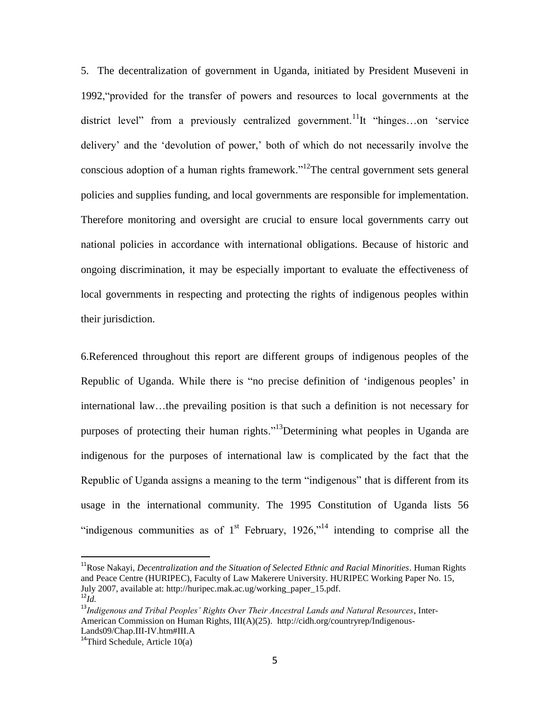5. The decentralization of government in Uganda, initiated by President Museveni in 1992, "provided for the transfer of powers and resources to local governments at the district level" from a previously centralized government.<sup>11</sup>It "hinges...on 'service delivery' and the ‗devolution of power,' both of which do not necessarily involve the conscious adoption of a human rights framework."<sup>12</sup>The central government sets general policies and supplies funding, and local governments are responsible for implementation. Therefore monitoring and oversight are crucial to ensure local governments carry out national policies in accordance with international obligations. Because of historic and ongoing discrimination, it may be especially important to evaluate the effectiveness of local governments in respecting and protecting the rights of indigenous peoples within their jurisdiction.

6.Referenced throughout this report are different groups of indigenous peoples of the Republic of Uganda. While there is "no precise definition of 'indigenous peoples' in international law…the prevailing position is that such a definition is not necessary for purposes of protecting their human rights.<sup>13</sup>Determining what peoples in Uganda are indigenous for the purposes of international law is complicated by the fact that the Republic of Uganda assigns a meaning to the term "indigenous" that is different from its usage in the international community. The 1995 Constitution of Uganda lists 56 "indigenous communities as of  $1<sup>st</sup>$  February, 1926,"<sup>14</sup> intending to comprise all the

<sup>11</sup>Rose Nakayi, *Decentralization and the Situation of Selected Ethnic and Racial Minorities*. Human Rights and Peace Centre (HURIPEC), Faculty of Law Makerere University. HURIPEC Working Paper No. 15, July 2007, available at: http://huripec.mak.ac.ug/working\_paper\_15.pdf.  $^{12}Id$ .

<sup>13</sup>*Indigenous and Tribal Peoples' Rights Over Their Ancestral Lands and Natural Resources*, Inter-American Commission on Human Rights, III(A)(25). http://cidh.org/countryrep/Indigenous-Lands09/Chap.III-IV.htm#III.A

 $^{14}$ Third Schedule, Article 10(a)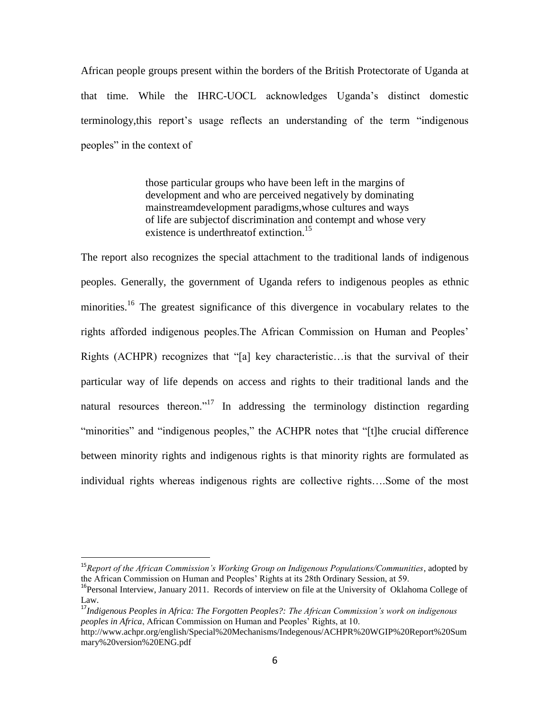African people groups present within the borders of the British Protectorate of Uganda at that time. While the IHRC-UOCL acknowledges Uganda's distinct domestic terminology, this report's usage reflects an understanding of the term "indigenous" peoples" in the context of

> those particular groups who have been left in the margins of development and who are perceived negatively by dominating mainstreamdevelopment paradigms,whose cultures and ways of life are subjectof discrimination and contempt and whose very existence is underthreatof extinction.<sup>15</sup>

The report also recognizes the special attachment to the traditional lands of indigenous peoples. Generally, the government of Uganda refers to indigenous peoples as ethnic minorities.<sup>16</sup> The greatest significance of this divergence in vocabulary relates to the rights afforded indigenous peoples.The African Commission on Human and Peoples' Rights (ACHPR) recognizes that "[a] key characteristic... is that the survival of their particular way of life depends on access and rights to their traditional lands and the natural resources thereon.<sup>17</sup> In addressing the terminology distinction regarding "minorities" and "indigenous peoples," the ACHPR notes that "[t]he crucial difference between minority rights and indigenous rights is that minority rights are formulated as individual rights whereas indigenous rights are collective rights….Some of the most

<sup>15</sup>*Report of the African Commission's Working Group on Indigenous Populations/Communities*, adopted by the African Commission on Human and Peoples' Rights at its 28th Ordinary Session, at 59.

<sup>&</sup>lt;sup>16</sup>Personal Interview, January 2011. Records of interview on file at the University of Oklahoma College of Law.

<sup>17</sup>*Indigenous Peoples in Africa: The Forgotten Peoples?: The African Commission's work on indigenous peoples in Africa*, African Commission on Human and Peoples' Rights, at 10.

http://www.achpr.org/english/Special%20Mechanisms/Indegenous/ACHPR%20WGIP%20Report%20Sum mary%20version%20ENG.pdf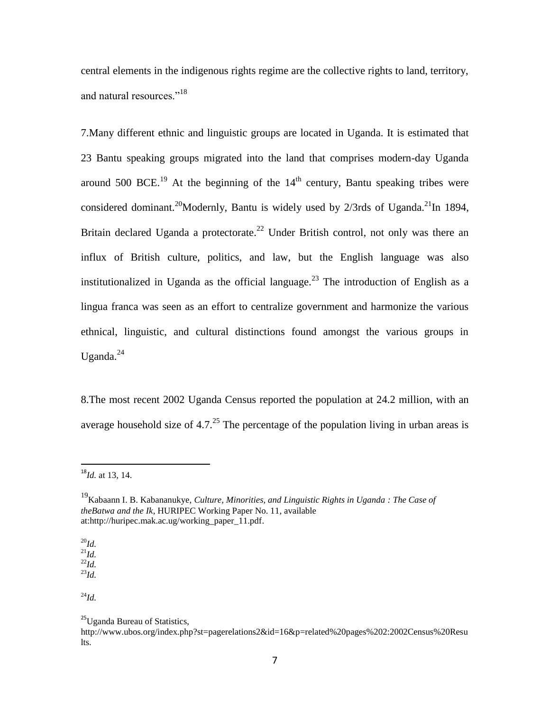central elements in the indigenous rights regime are the collective rights to land, territory, and natural resources."<sup>18</sup>

7.Many different ethnic and linguistic groups are located in Uganda. It is estimated that 23 Bantu speaking groups migrated into the land that comprises modern-day Uganda around 500 BCE.<sup>19</sup> At the beginning of the  $14<sup>th</sup>$  century, Bantu speaking tribes were considered dominant.<sup>20</sup>Modernly, Bantu is widely used by  $2/3$ rds of Uganda.<sup>21</sup>In 1894, Britain declared Uganda a protectorate.<sup>22</sup> Under British control, not only was there an influx of British culture, politics, and law, but the English language was also institutionalized in Uganda as the official language.<sup>23</sup> The introduction of English as a lingua franca was seen as an effort to centralize government and harmonize the various ethnical, linguistic, and cultural distinctions found amongst the various groups in Uganda. $^{24}$ 

8.The most recent 2002 Uganda Census reported the population at 24.2 million, with an average household size of 4.7.<sup>25</sup> The percentage of the population living in urban areas is

<sup>20</sup>*Id.* <sup>21</sup>*Id.* <sup>22</sup>*Id.* <sup>23</sup>*Id.*

 $\overline{a}$ 

<sup>24</sup>*Id.*

<sup>18</sup>*Id.* at 13, 14.

<sup>19</sup>Kabaann I. B. Kabananukye, *Culture, Minorities, and Linguistic Rights in Uganda : The Case of theBatwa and the Ik*, HURIPEC Working Paper No. 11, available at:http://huripec.mak.ac.ug/working\_paper\_11.pdf.

<sup>&</sup>lt;sup>25</sup>Uganda Bureau of Statistics,

http://www.ubos.org/index.php?st=pagerelations2&id=16&p=related%20pages%202:2002Census%20Resu lts.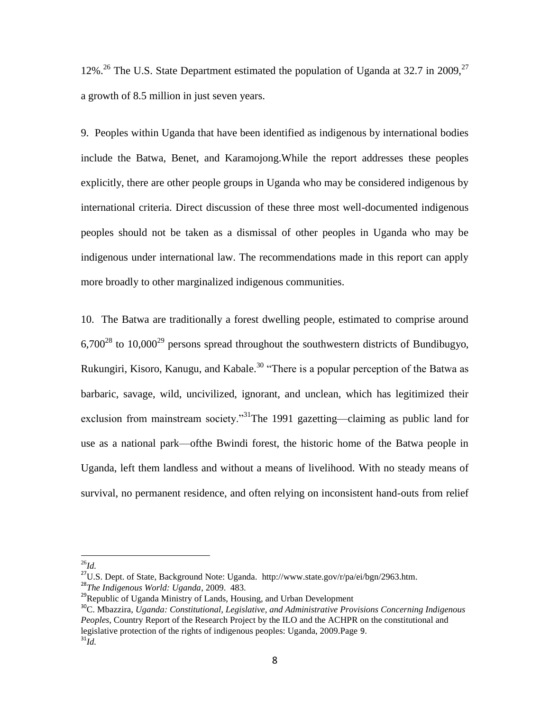12%.<sup>26</sup> The U.S. State Department estimated the population of Uganda at 32.7 in 2009.<sup>27</sup> a growth of 8.5 million in just seven years.

9. Peoples within Uganda that have been identified as indigenous by international bodies include the Batwa, Benet, and Karamojong.While the report addresses these peoples explicitly, there are other people groups in Uganda who may be considered indigenous by international criteria. Direct discussion of these three most well-documented indigenous peoples should not be taken as a dismissal of other peoples in Uganda who may be indigenous under international law. The recommendations made in this report can apply more broadly to other marginalized indigenous communities.

10. The Batwa are traditionally a forest dwelling people, estimated to comprise around  $6,700^{28}$  to  $10,000^{29}$  persons spread throughout the southwestern districts of Bundibugyo, Rukungiri, Kisoro, Kanugu, and Kabale.<sup>30</sup> "There is a popular perception of the Batwa as barbaric, savage, wild, uncivilized, ignorant, and unclean, which has legitimized their exclusion from mainstream society.<sup>31</sup>The 1991 gazetting—claiming as public land for use as a national park—ofthe Bwindi forest, the historic home of the Batwa people in Uganda, left them landless and without a means of livelihood. With no steady means of survival, no permanent residence, and often relying on inconsistent hand-outs from relief

 $\overline{a}$ <sup>26</sup>*Id.*

<sup>&</sup>lt;sup>27</sup>U.S. Dept. of State, Background Note: Uganda. http://www.state.gov/r/pa/ei/bgn/2963.htm. <sup>28</sup>*The Indigenous World: Uganda*, 2009. 483.

<sup>&</sup>lt;sup>29</sup>Republic of Uganda Ministry of Lands, Housing, and Urban Development

<sup>30</sup>C. Mbazzira, *Uganda: Constitutional, Legislative, and Administrative Provisions Concerning Indigenous Peoples*, Country Report of the Research Project by the ILO and the ACHPR on the constitutional and legislative protection of the rights of indigenous peoples: Uganda, 2009.Page 9.  $^{31}$ *Id.*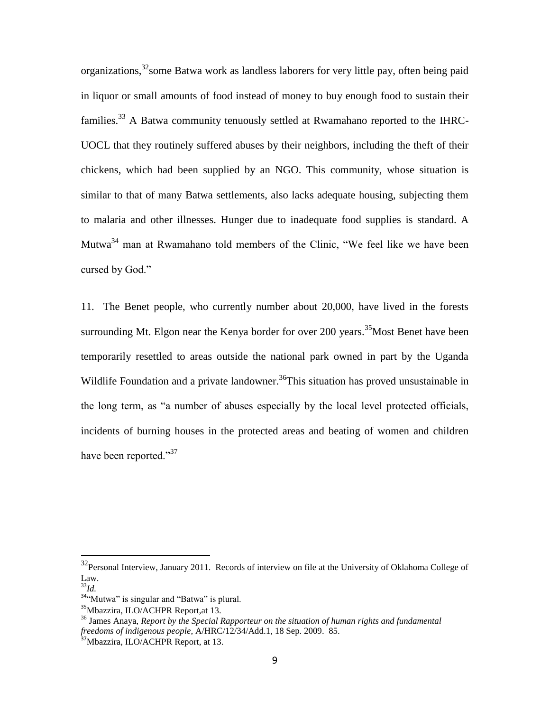organizations,<sup>32</sup>some Batwa work as landless laborers for very little pay, often being paid in liquor or small amounts of food instead of money to buy enough food to sustain their families.<sup>33</sup> A Batwa community tenuously settled at Rwamahano reported to the IHRC-UOCL that they routinely suffered abuses by their neighbors, including the theft of their chickens, which had been supplied by an NGO. This community, whose situation is similar to that of many Batwa settlements, also lacks adequate housing, subjecting them to malaria and other illnesses. Hunger due to inadequate food supplies is standard. A Mutwa<sup>34</sup> man at Rwamahano told members of the Clinic, "We feel like we have been cursed by God."

11. The Benet people, who currently number about 20,000, have lived in the forests surrounding Mt. Elgon near the Kenya border for over 200 years.<sup>35</sup>Most Benet have been temporarily resettled to areas outside the national park owned in part by the Uganda Wildlife Foundation and a private landowner.<sup>36</sup>This situation has proved unsustainable in the long term, as "a number of abuses especially by the local level protected officials, incidents of burning houses in the protected areas and beating of women and children have been reported." $37$ 

 $32$ Personal Interview, January 2011. Records of interview on file at the University of Oklahoma College of Law.

<sup>33</sup>*Id.*

 $34$ <sup>c</sup>Mutwa" is singular and "Batwa" is plural.

<sup>35</sup>Mbazzira, ILO/ACHPR Report,at 13.

<sup>36</sup> James Anaya, *Report by the Special Rapporteur on the situation of human rights and fundamental freedoms of indigenous people*, A/HRC/12/34/Add.1, 18 Sep. 2009. 85.

<sup>&</sup>lt;sup>37</sup>Mbazzira, ILO/ACHPR Report, at 13.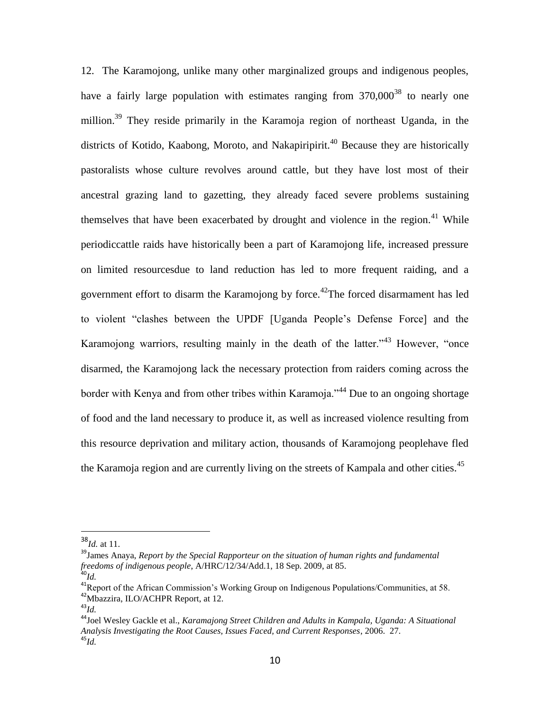12. The Karamojong, unlike many other marginalized groups and indigenous peoples, have a fairly large population with estimates ranging from  $370,000^{38}$  to nearly one million.<sup>39</sup> They reside primarily in the Karamoja region of northeast Uganda, in the districts of Kotido, Kaabong, Moroto, and Nakapiripirit.<sup>40</sup> Because they are historically pastoralists whose culture revolves around cattle, but they have lost most of their ancestral grazing land to gazetting, they already faced severe problems sustaining themselves that have been exacerbated by drought and violence in the region.<sup>41</sup> While periodiccattle raids have historically been a part of Karamojong life, increased pressure on limited resourcesdue to land reduction has led to more frequent raiding, and a government effort to disarm the Karamojong by force.<sup>42</sup>The forced disarmament has led to violent "clashes between the UPDF [Uganda People's Defense Force] and the Karamojong warriors, resulting mainly in the death of the latter.<sup> $43$ </sup> However, "once disarmed, the Karamojong lack the necessary protection from raiders coming across the border with Kenya and from other tribes within Karamoja.<sup>344</sup> Due to an ongoing shortage of food and the land necessary to produce it, as well as increased violence resulting from this resource deprivation and military action, thousands of Karamojong peoplehave fled the Karamoja region and are currently living on the streets of Kampala and other cities.<sup>45</sup>

<sup>38</sup>*Id.* at 11.

<sup>39</sup>James Anaya, *Report by the Special Rapporteur on the situation of human rights and fundamental freedoms of indigenous people*, A/HRC/12/34/Add.1, 18 Sep. 2009, at 85.

<sup>40</sup>*Id.*

<sup>41</sup>Report of the African Commission's Working Group on Indigenous Populations/Communities, at 58. <sup>42</sup>Mbazzira, ILO/ACHPR Report, at 12.

<sup>43</sup>*Id.*

<sup>44</sup>Joel Wesley Gackle et al., *Karamajong Street Children and Adults in Kampala, Uganda: A Situational Analysis Investigating the Root Causes, Issues Faced, and Current Responses*, 2006. 27. <sup>45</sup>*Id.*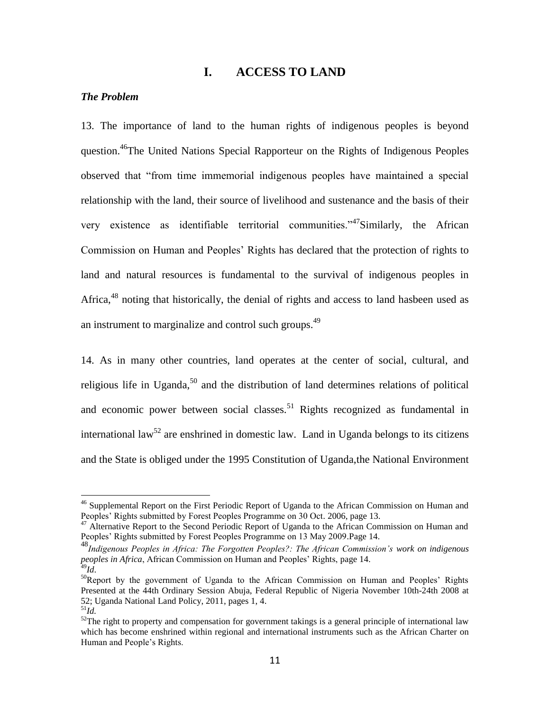# **I. ACCESS TO LAND**

#### *The Problem*

13. The importance of land to the human rights of indigenous peoples is beyond question.<sup>46</sup>The United Nations Special Rapporteur on the Rights of Indigenous Peoples observed that "from time immemorial indigenous peoples have maintained a special relationship with the land, their source of livelihood and sustenance and the basis of their very existence as identifiable territorial communities." $47$ Similarly, the African Commission on Human and Peoples' Rights has declared that the protection of rights to land and natural resources is fundamental to the survival of indigenous peoples in Africa,<sup>48</sup> noting that historically, the denial of rights and access to land hasbeen used as an instrument to marginalize and control such groups.<sup>49</sup>

14. As in many other countries, land operates at the center of social, cultural, and religious life in Uganda, $50$  and the distribution of land determines relations of political and economic power between social classes.<sup>51</sup> Rights recognized as fundamental in international law<sup>52</sup> are enshrined in domestic law. Land in Uganda belongs to its citizens and the State is obliged under the 1995 Constitution of Uganda,the National Environment

<sup>&</sup>lt;sup>46</sup> Supplemental Report on the First Periodic Report of Uganda to the African Commission on Human and Peoples' Rights submitted by Forest Peoples Programme on 30 Oct. 2006, page 13.

<sup>&</sup>lt;sup>47</sup> Alternative Report to the Second Periodic Report of Uganda to the African Commission on Human and Peoples' Rights submitted by Forest Peoples Programme on 13 May 2009.Page 14.

<sup>48</sup>*Indigenous Peoples in Africa: The Forgotten Peoples?: The African Commission's work on indigenous peoples in Africa*, African Commission on Human and Peoples' Rights, page 14.

<sup>49</sup>*Id*.

 $50$ Report by the government of Uganda to the African Commission on Human and Peoples' Rights Presented at the 44th Ordinary Session Abuja, Federal Republic of Nigeria November 10th-24th 2008 at 52; Uganda National Land Policy, 2011, pages 1, 4.

 $^{51}$ *Id.* 

 $52$ The right to property and compensation for government takings is a general principle of international law which has become enshrined within regional and international instruments such as the African Charter on Human and People's Rights.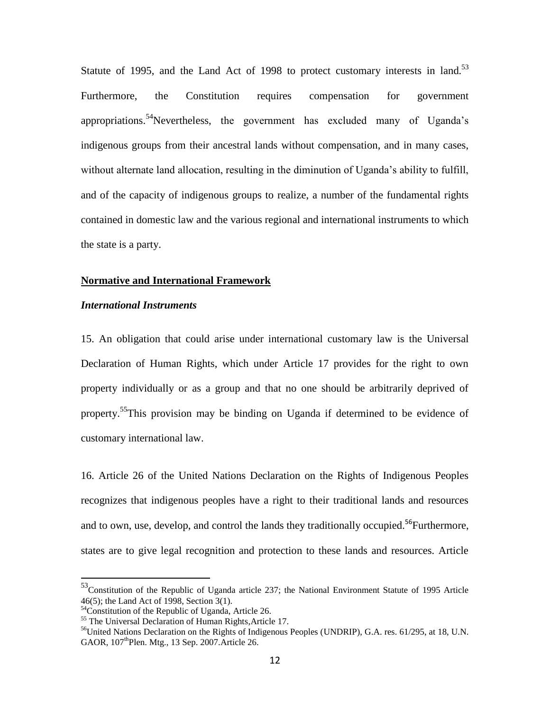Statute of 1995, and the Land Act of 1998 to protect customary interests in land.<sup>53</sup> Furthermore, the Constitution requires compensation for government appropriations.<sup>54</sup>Nevertheless, the government has excluded many of Uganda's indigenous groups from their ancestral lands without compensation, and in many cases, without alternate land allocation, resulting in the diminution of Uganda's ability to fulfill, and of the capacity of indigenous groups to realize, a number of the fundamental rights contained in domestic law and the various regional and international instruments to which the state is a party.

#### **Normative and International Framework**

#### *International Instruments*

15. An obligation that could arise under international customary law is the Universal Declaration of Human Rights, which under Article 17 provides for the right to own property individually or as a group and that no one should be arbitrarily deprived of property. <sup>55</sup>This provision may be binding on Uganda if determined to be evidence of customary international law.

16. Article 26 of the United Nations Declaration on the Rights of Indigenous Peoples recognizes that indigenous peoples have a right to their traditional lands and resources and to own, use, develop, and control the lands they traditionally occupied.<sup>56</sup>Furthermore, states are to give legal recognition and protection to these lands and resources. Article

<sup>53</sup>Constitution of the Republic of Uganda article 237; the National Environment Statute of 1995 Article 46(5); the Land Act of 1998, Section 3(1).

<sup>54</sup>Constitution of the Republic of Uganda, Article 26.

<sup>&</sup>lt;sup>55</sup> The Universal Declaration of Human Rights, Article 17.

 $<sup>56</sup>$ United Nations Declaration on the Rights of Indigenous Peoples (UNDRIP), G.A. res. 61/295, at 18, U.N.</sup> GAOR, 107<sup>th</sup>Plen. Mtg., 13 Sep. 2007. Article 26.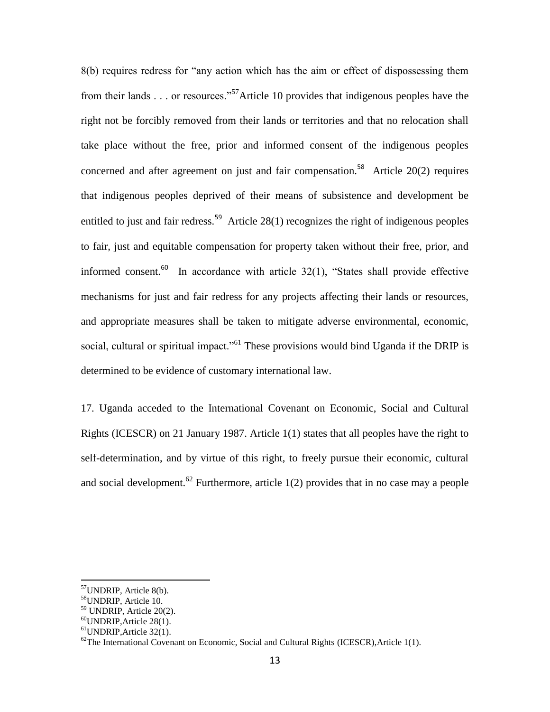8(b) requires redress for "any action which has the aim or effect of dispossessing them from their lands  $\ldots$  or resources.<sup>57</sup>Article 10 provides that indigenous peoples have the right not be forcibly removed from their lands or territories and that no relocation shall take place without the free, prior and informed consent of the indigenous peoples concerned and after agreement on just and fair compensation.<sup>58</sup> Article 20(2) requires that indigenous peoples deprived of their means of subsistence and development be entitled to just and fair redress.<sup>59</sup> Article 28(1) recognizes the right of indigenous peoples to fair, just and equitable compensation for property taken without their free, prior, and informed consent.<sup>60</sup> In accordance with article  $32(1)$ , "States shall provide effective mechanisms for just and fair redress for any projects affecting their lands or resources, and appropriate measures shall be taken to mitigate adverse environmental, economic, social, cultural or spiritual impact."<sup>61</sup> These provisions would bind Uganda if the DRIP is determined to be evidence of customary international law.

17. Uganda acceded to the International Covenant on Economic, Social and Cultural Rights (ICESCR) on 21 January 1987. Article 1(1) states that all peoples have the right to self-determination, and by virtue of this right, to freely pursue their economic, cultural and social development.<sup>62</sup> Furthermore, article  $1(2)$  provides that in no case may a people

<sup>&</sup>lt;sup>57</sup>UNDRIP, Article 8(b).

<sup>&</sup>lt;sup>58</sup>UNDRIP, Article 10.

<sup>59</sup> UNDRIP, Article 20(2).

 $60$ UNDRIP, Article 28(1).

<sup>61</sup>UNDRIP,Article 32(1).

 $^{62}$ The International Covenant on Economic, Social and Cultural Rights (ICESCR), Article 1(1).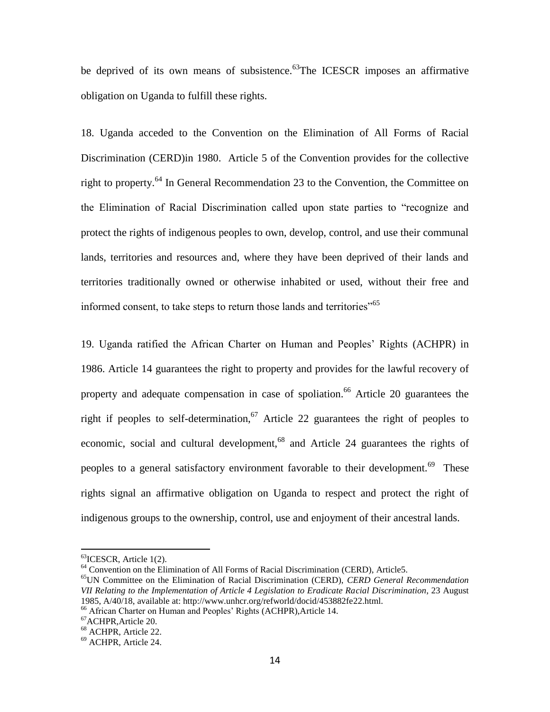be deprived of its own means of subsistence.<sup>63</sup>The ICESCR imposes an affirmative obligation on Uganda to fulfill these rights.

18. Uganda acceded to the Convention on the Elimination of All Forms of Racial Discrimination (CERD)in 1980. Article 5 of the Convention provides for the collective right to property.<sup>64</sup> In General Recommendation 23 to the Convention, the Committee on the Elimination of Racial Discrimination called upon state parties to "recognize and protect the rights of indigenous peoples to own, develop, control, and use their communal lands, territories and resources and, where they have been deprived of their lands and territories traditionally owned or otherwise inhabited or used, without their free and informed consent, to take steps to return those lands and territories<sup>165</sup>

19. Uganda ratified the African Charter on Human and Peoples' Rights (ACHPR) in 1986. Article 14 guarantees the right to property and provides for the lawful recovery of property and adequate compensation in case of spoliation.<sup>66</sup> Article 20 guarantees the right if peoples to self-determination,<sup>67</sup> Article 22 guarantees the right of peoples to economic, social and cultural development,<sup>68</sup> and Article 24 guarantees the rights of peoples to a general satisfactory environment favorable to their development.<sup>69</sup> These rights signal an affirmative obligation on Uganda to respect and protect the right of indigenous groups to the ownership, control, use and enjoyment of their ancestral lands.

 $^{63}$ ICESCR, Article 1(2).

<sup>&</sup>lt;sup>64</sup> Convention on the Elimination of All Forms of Racial Discrimination (CERD), Article5.

<sup>65</sup>UN Committee on the Elimination of Racial Discrimination (CERD), *CERD General Recommendation VII Relating to the Implementation of Article 4 Legislation to Eradicate Racial Discrimination*, 23 August 1985, A/40/18, available at: http://www.unhcr.org/refworld/docid/453882fe22.html.

<sup>66</sup> African Charter on Human and Peoples' Rights (ACHPR),Article 14.

<sup>67</sup>ACHPR,Article 20.

<sup>68</sup> ACHPR, Article 22.

<sup>69</sup> ACHPR, Article 24.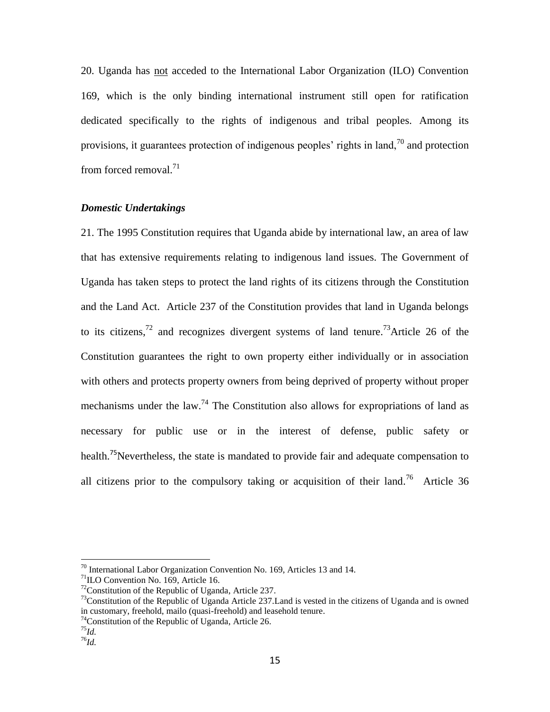20. Uganda has not acceded to the International Labor Organization (ILO) Convention 169, which is the only binding international instrument still open for ratification dedicated specifically to the rights of indigenous and tribal peoples. Among its provisions, it guarantees protection of indigenous peoples' rights in land,  $\frac{70}{10}$  and protection from forced removal. $71$ 

## *Domestic Undertakings*

21. The 1995 Constitution requires that Uganda abide by international law, an area of law that has extensive requirements relating to indigenous land issues. The Government of Uganda has taken steps to protect the land rights of its citizens through the Constitution and the Land Act. Article 237 of the Constitution provides that land in Uganda belongs to its citizens,<sup>72</sup> and recognizes divergent systems of land tenure.<sup>73</sup>Article 26 of the Constitution guarantees the right to own property either individually or in association with others and protects property owners from being deprived of property without proper mechanisms under the law.<sup>74</sup> The Constitution also allows for expropriations of land as necessary for public use or in the interest of defense, public safety or health.<sup>75</sup>Nevertheless, the state is mandated to provide fair and adequate compensation to all citizens prior to the compulsory taking or acquisition of their land.<sup>76</sup> Article 36

 $70$  International Labor Organization Convention No. 169, Articles 13 and 14.

<sup>&</sup>lt;sup>71</sup>ILO Convention No. 169, Article 16.

 $72$ Constitution of the Republic of Uganda, Article 237.

 $^{73}$ Constitution of the Republic of Uganda Article 237. Land is vested in the citizens of Uganda and is owned in customary, freehold, mailo (quasi-freehold) and leasehold tenure.

<sup>74</sup>Constitution of the Republic of Uganda, Article 26.

<sup>75</sup>*Id.*

<sup>76</sup>*Id.*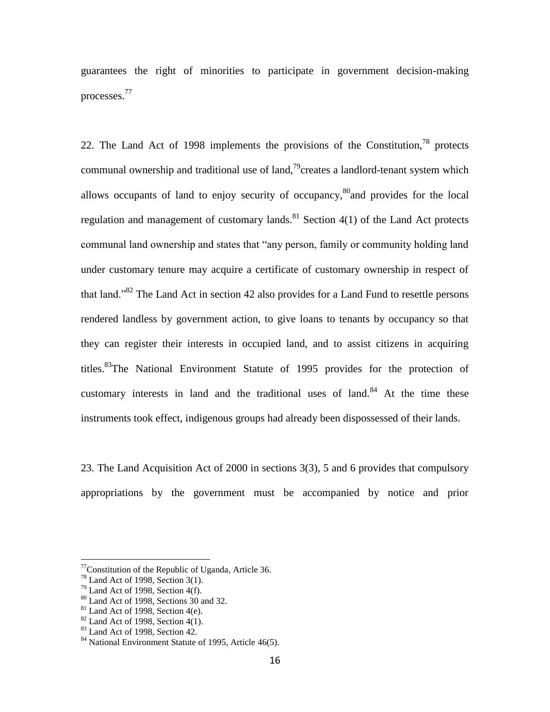guarantees the right of minorities to participate in government decision-making processes.<sup>77</sup>

22. The Land Act of 1998 implements the provisions of the Constitution,  $78$  protects communal ownership and traditional use of land,<sup>79</sup>creates a landlord-tenant system which allows occupants of land to enjoy security of occupancy,<sup>80</sup>and provides for the local regulation and management of customary lands.<sup>81</sup> Section 4(1) of the Land Act protects communal land ownership and states that "any person, family or community holding land under customary tenure may acquire a certificate of customary ownership in respect of that land.<sup>82</sup> The Land Act in section 42 also provides for a Land Fund to resettle persons rendered landless by government action, to give loans to tenants by occupancy so that they can register their interests in occupied land, and to assist citizens in acquiring titles.<sup>83</sup>The National Environment Statute of 1995 provides for the protection of customary interests in land and the traditional uses of land. $84$  At the time these instruments took effect, indigenous groups had already been dispossessed of their lands.

23. The Land Acquisition Act of 2000 in sections 3(3), 5 and 6 provides that compulsory appropriations by the government must be accompanied by notice and prior

 $77$ Constitution of the Republic of Uganda, Article 36.

 $78$  Land Act of 1998, Section 3(1).

 $79$  Land Act of 1998, Section 4(f).

<sup>80</sup> Land Act of 1998, Sections 30 and 32.

 $81$  Land Act of 1998, Section 4(e).

 $82$  Land Act of 1998, Section 4(1).

 $83$  Land Act of 1998, Section 42.

<sup>84</sup> National Environment Statute of 1995, Article 46(5).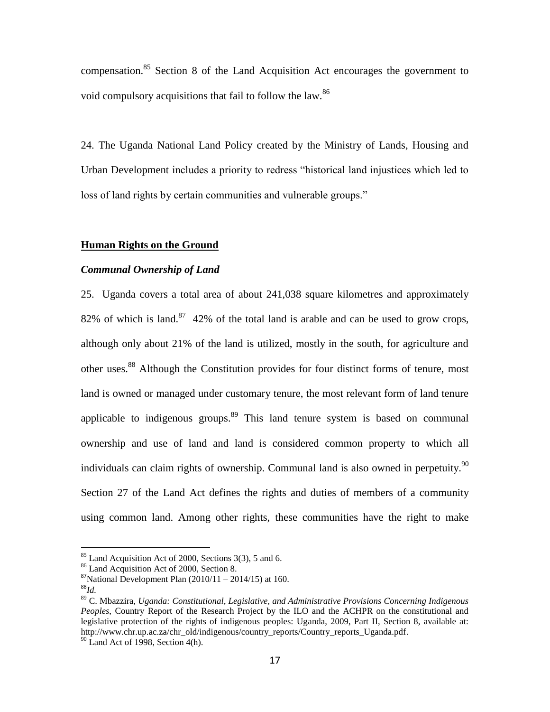compensation.<sup>85</sup> Section 8 of the Land Acquisition Act encourages the government to void compulsory acquisitions that fail to follow the law.<sup>86</sup>

24. The Uganda National Land Policy created by the Ministry of Lands, Housing and Urban Development includes a priority to redress "historical land injustices which led to loss of land rights by certain communities and vulnerable groups."

#### **Human Rights on the Ground**

#### *Communal Ownership of Land*

25. Uganda covers a total area of about 241,038 square kilometres and approximately 82% of which is land.<sup>87</sup> 42% of the total land is arable and can be used to grow crops, although only about 21% of the land is utilized, mostly in the south, for agriculture and other uses.<sup>88</sup> Although the Constitution provides for four distinct forms of tenure, most land is owned or managed under customary tenure, the most relevant form of land tenure applicable to indigenous groups.<sup>89</sup> This land tenure system is based on communal ownership and use of land and land is considered common property to which all individuals can claim rights of ownership. Communal land is also owned in perpetuity.<sup>90</sup> Section 27 of the Land Act defines the rights and duties of members of a community using common land. Among other rights, these communities have the right to make

 $85$  Land Acquisition Act of 2000, Sections 3(3), 5 and 6.

<sup>86</sup> Land Acquisition Act of 2000, Section 8.

 $87$ National Development Plan (2010/11 – 2014/15) at 160.

<sup>88</sup>*Id.*

<sup>89</sup> C. Mbazzira, *Uganda: Constitutional, Legislative, and Administrative Provisions Concerning Indigenous Peoples*, Country Report of the Research Project by the ILO and the ACHPR on the constitutional and legislative protection of the rights of indigenous peoples: Uganda, 2009, Part II, Section 8, available at: http://www.chr.up.ac.za/chr\_old/indigenous/country\_reports/Country\_reports\_Uganda.pdf.

 $90$  Land Act of 1998, Section 4(h).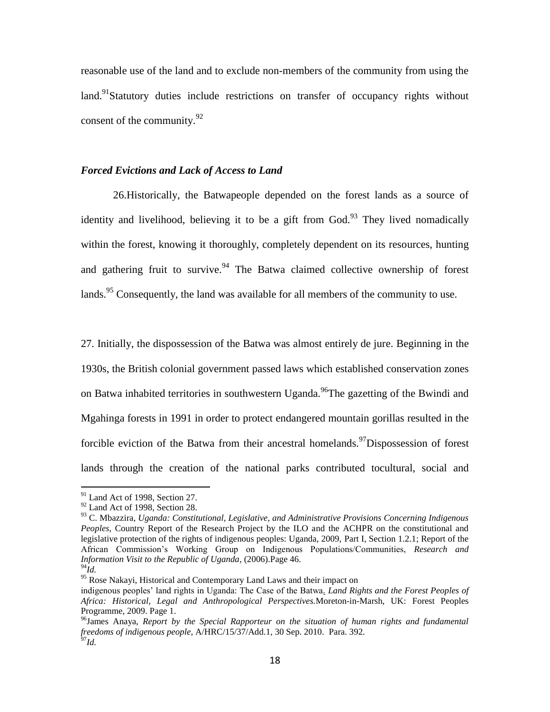reasonable use of the land and to exclude non-members of the community from using the land.<sup>91</sup>Statutory duties include restrictions on transfer of occupancy rights without consent of the community. $92$ 

#### *Forced Evictions and Lack of Access to Land*

26.Historically, the Batwapeople depended on the forest lands as a source of identity and livelihood, believing it to be a gift from  $God.^{93}$ . They lived nomadically within the forest, knowing it thoroughly, completely dependent on its resources, hunting and gathering fruit to survive.<sup>94</sup> The Batwa claimed collective ownership of forest lands.<sup>95</sup> Consequently, the land was available for all members of the community to use.

27. Initially, the dispossession of the Batwa was almost entirely de jure. Beginning in the 1930s, the British colonial government passed laws which established conservation zones on Batwa inhabited territories in southwestern Uganda.<sup>96</sup>The gazetting of the Bwindi and Mgahinga forests in 1991 in order to protect endangered mountain gorillas resulted in the forcible eviction of the Batwa from their ancestral homelands.<sup>97</sup>Dispossession of forest lands through the creation of the national parks contributed tocultural, social and

 $91$  Land Act of 1998, Section 27.

<sup>&</sup>lt;sup>92</sup> Land Act of 1998, Section 28.

<sup>93</sup> C. Mbazzira, *Uganda: Constitutional, Legislative, and Administrative Provisions Concerning Indigenous Peoples*, Country Report of the Research Project by the ILO and the ACHPR on the constitutional and legislative protection of the rights of indigenous peoples: Uganda, 2009, Part I, Section 1.2.1; Report of the African Commission's Working Group on Indigenous Populations/Communities, *Research and Information Visit to the Republic of Uganda*, (2006).Page 46.

<sup>94</sup>*Id.*

<sup>&</sup>lt;sup>95</sup> Rose Nakayi, Historical and Contemporary Land Laws and their impact on

indigenous peoples' land rights in Uganda: The Case of the Batwa*. Land Rights and the Forest Peoples of Africa: Historical, Legal and Anthropological Perspectives.*Moreton-in-Marsh, UK: Forest Peoples Programme, 2009. Page 1.

<sup>96</sup>James Anaya, *Report by the Special Rapporteur on the situation of human rights and fundamental freedoms of indigenous people*, A/HRC/15/37/Add.1, 30 Sep. 2010. Para. 392. <sup>97</sup>*Id.*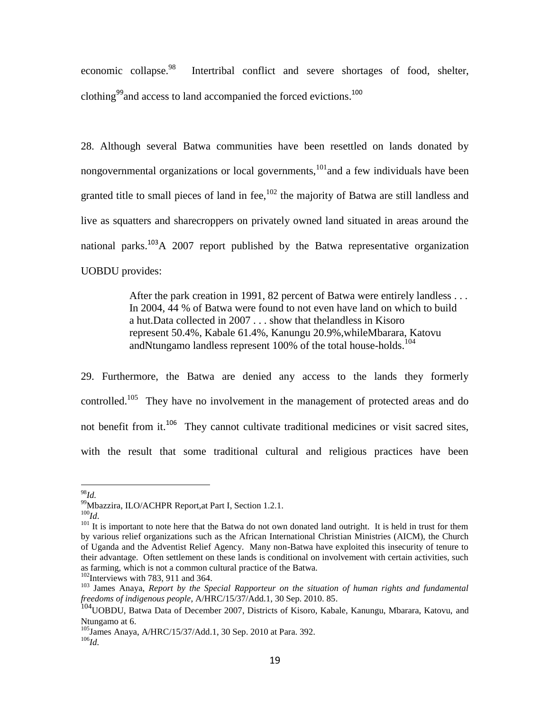economic collapse.<sup>98</sup> Intertribal conflict and severe shortages of food, shelter, clothing<sup>99</sup> and access to land accompanied the forced evictions.<sup>100</sup>

28. Although several Batwa communities have been resettled on lands donated by nongovernmental organizations or local governments, $101$  and a few individuals have been granted title to small pieces of land in fee,  $102$  the majority of Batwa are still landless and live as squatters and sharecroppers on privately owned land situated in areas around the national parks.<sup>103</sup>A 2007 report published by the Batwa representative organization UOBDU provides:

> After the park creation in 1991, 82 percent of Batwa were entirely landless . . . In 2004, 44 % of Batwa were found to not even have land on which to build a hut.Data collected in 2007 . . . show that thelandless in Kisoro represent 50.4%, Kabale 61.4%, Kanungu 20.9%,whileMbarara, Katovu andNtungamo landless represent  $100\%$  of the total house-holds.<sup>104</sup>

29. Furthermore, the Batwa are denied any access to the lands they formerly controlled.<sup>105</sup> They have no involvement in the management of protected areas and do not benefit from it.<sup>106</sup> They cannot cultivate traditional medicines or visit sacred sites, with the result that some traditional cultural and religious practices have been

<sup>98</sup>*Id.*

<sup>99</sup>Mbazzira, ILO/ACHPR Report,at Part I, Section 1.2.1.

<sup>100</sup>*Id*.

<sup>&</sup>lt;sup>101</sup> It is important to note here that the Batwa do not own donated land outright. It is held in trust for them by various relief organizations such as the African International Christian Ministries (AICM), the Church of Uganda and the Adventist Relief Agency. Many non-Batwa have exploited this insecurity of tenure to their advantage. Often settlement on these lands is conditional on involvement with certain activities, such as farming, which is not a common cultural practice of the Batwa.

 $102$ Interviews with 783, 911 and 364.

<sup>103</sup> James Anaya, *Report by the Special Rapporteur on the situation of human rights and fundamental freedoms of indigenous people*, A/HRC/15/37/Add.1, 30 Sep. 2010. 85.

<sup>&</sup>lt;sup>104</sup>UOBDU, Batwa Data of December 2007, Districts of Kisoro, Kabale, Kanungu, Mbarara, Katovu, and Ntungamo at 6.

<sup>&</sup>lt;sup>105</sup>James Anaya, A/HRC/15/37/Add.1, 30 Sep. 2010 at Para. 392. <sup>106</sup>*Id.*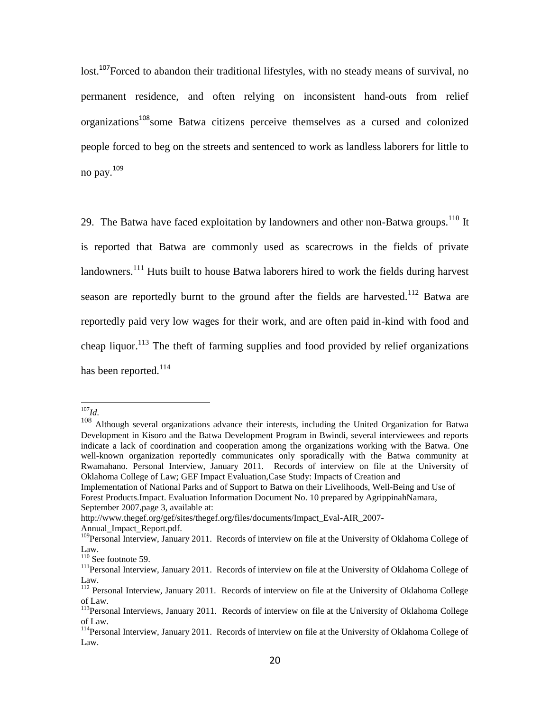lost.<sup>107</sup>Forced to abandon their traditional lifestyles, with no steady means of survival, no permanent residence, and often relying on inconsistent hand-outs from relief organizations<sup>108</sup>some Batwa citizens perceive themselves as a cursed and colonized people forced to beg on the streets and sentenced to work as landless laborers for little to no pay.<sup>109</sup>

29. The Batwa have faced exploitation by landowners and other non-Batwa groups.<sup>110</sup> It is reported that Batwa are commonly used as scarecrows in the fields of private landowners.<sup>111</sup> Huts built to house Batwa laborers hired to work the fields during harvest season are reportedly burnt to the ground after the fields are harvested.<sup>112</sup> Batwa are reportedly paid very low wages for their work, and are often paid in-kind with food and cheap liquor.<sup>113</sup> The theft of farming supplies and food provided by relief organizations has been reported.<sup>114</sup>

 $\overline{a}$ 

Annual\_Impact\_Report.pdf.

<sup>107</sup>*Id.*

<sup>108</sup> Although several organizations advance their interests, including the United Organization for Batwa Development in Kisoro and the Batwa Development Program in Bwindi, several interviewees and reports indicate a lack of coordination and cooperation among the organizations working with the Batwa. One well-known organization reportedly communicates only sporadically with the Batwa community at Rwamahano. Personal Interview, January 2011. Records of interview on file at the University of Oklahoma College of Law; GEF Impact Evaluation,Case Study: Impacts of Creation and

Implementation of National Parks and of Support to Batwa on their Livelihoods, Well-Being and Use of Forest Products.Impact. Evaluation Information Document No. 10 prepared by AgrippinahNamara, September 2007,page 3, available at:

http://www.thegef.org/gef/sites/thegef.org/files/documents/Impact\_Eval-AIR\_2007-

<sup>&</sup>lt;sup>109</sup>Personal Interview, January 2011. Records of interview on file at the University of Oklahoma College of Law.

<sup>&</sup>lt;sup>110</sup> See footnote 59.

<sup>&</sup>lt;sup>111</sup>Personal Interview, January 2011. Records of interview on file at the University of Oklahoma College of Law.

<sup>&</sup>lt;sup>112</sup> Personal Interview, January 2011. Records of interview on file at the University of Oklahoma College of Law.

<sup>&</sup>lt;sup>113</sup>Personal Interviews, January 2011. Records of interview on file at the University of Oklahoma College of Law.

<sup>&</sup>lt;sup>114</sup>Personal Interview, January 2011. Records of interview on file at the University of Oklahoma College of Law.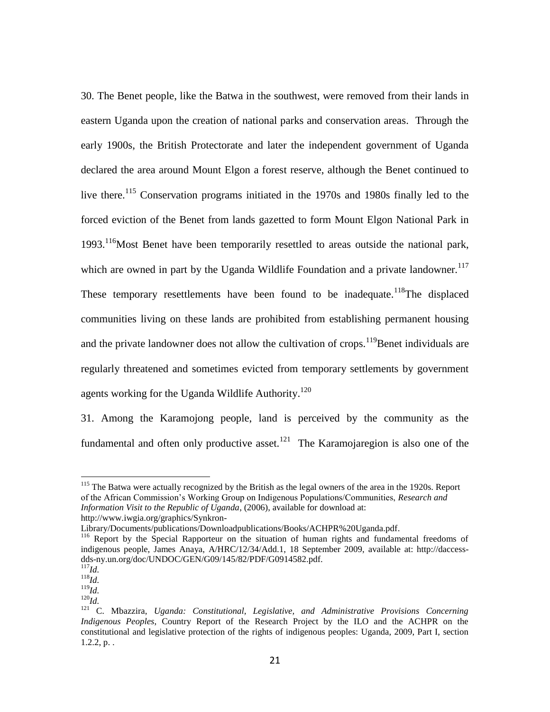30. The Benet people, like the Batwa in the southwest, were removed from their lands in eastern Uganda upon the creation of national parks and conservation areas. Through the early 1900s, the British Protectorate and later the independent government of Uganda declared the area around Mount Elgon a forest reserve, although the Benet continued to live there.<sup>115</sup> Conservation programs initiated in the 1970s and 1980s finally led to the forced eviction of the Benet from lands gazetted to form Mount Elgon National Park in 1993.<sup>116</sup>Most Benet have been temporarily resettled to areas outside the national park, which are owned in part by the Uganda Wildlife Foundation and a private landowner.<sup>117</sup> These temporary resettlements have been found to be inadequate.<sup>118</sup>The displaced communities living on these lands are prohibited from establishing permanent housing and the private landowner does not allow the cultivation of crops.<sup>119</sup>Benet individuals are regularly threatened and sometimes evicted from temporary settlements by government agents working for the Uganda Wildlife Authority.<sup>120</sup>

31. Among the Karamojong people, land is perceived by the community as the fundamental and often only productive asset.<sup>121</sup> The Karamojaregion is also one of the

 $115$  The Batwa were actually recognized by the British as the legal owners of the area in the 1920s. Report of the African Commission's Working Group on Indigenous Populations/Communities, *Research and Information Visit to the Republic of Uganda*, (2006), available for download at: http://www.iwgia.org/graphics/Synkron-

Library/Documents/publications/Downloadpublications/Books/ACHPR%20Uganda.pdf.

<sup>&</sup>lt;sup>116</sup> Report by the Special Rapporteur on the situation of human rights and fundamental freedoms of indigenous people, James Anaya, A/HRC/12/34/Add.1, 18 September 2009, available at: http://daccessdds-ny.un.org/doc/UNDOC/GEN/G09/145/82/PDF/G0914582.pdf.

<sup>117</sup>*Id.*

 $^{118}$ *Id.*  $^{119}$ *Id.* 

<sup>120</sup>*Id.*

<sup>121</sup> C. Mbazzira, *Uganda: Constitutional, Legislative, and Administrative Provisions Concerning Indigenous Peoples*, Country Report of the Research Project by the ILO and the ACHPR on the constitutional and legislative protection of the rights of indigenous peoples: Uganda, 2009, Part I, section  $1.2.2, p.$ .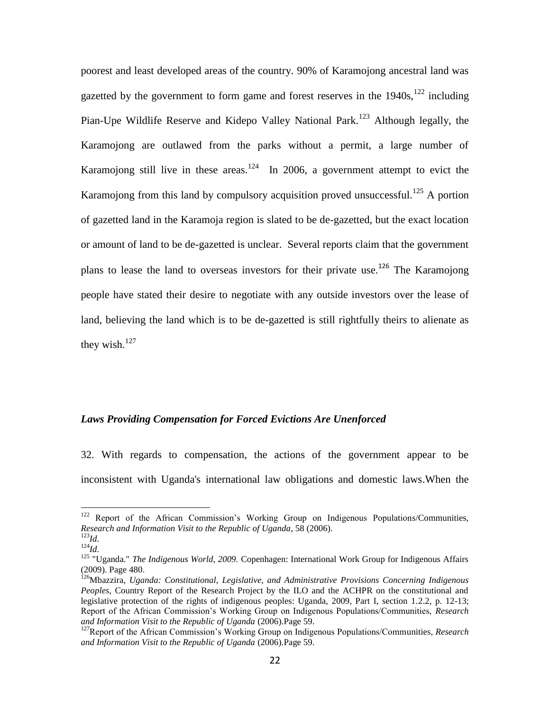poorest and least developed areas of the country. 90% of Karamojong ancestral land was gazetted by the government to form game and forest reserves in the  $1940s$ ,  $122$  including Pian-Upe Wildlife Reserve and Kidepo Valley National Park.<sup>123</sup> Although legally, the Karamojong are outlawed from the parks without a permit, a large number of Karamojong still live in these areas.<sup>124</sup> In 2006, a government attempt to evict the Karamojong from this land by compulsory acquisition proved unsuccessful.<sup>125</sup> A portion of gazetted land in the Karamoja region is slated to be de-gazetted, but the exact location or amount of land to be de-gazetted is unclear. Several reports claim that the government plans to lease the land to overseas investors for their private use.<sup>126</sup> The Karamojong people have stated their desire to negotiate with any outside investors over the lease of land, believing the land which is to be de-gazetted is still rightfully theirs to alienate as they wish. $127$ 

#### *Laws Providing Compensation for Forced Evictions Are Unenforced*

32. With regards to compensation, the actions of the government appear to be inconsistent with Uganda's international law obligations and domestic laws.When the

<sup>&</sup>lt;sup>122</sup> Report of the African Commission's Working Group on Indigenous Populations/Communities, *Research and Information Visit to the Republic of Uganda*, 58 (2006). <sup>123</sup>*Id.*

<sup>124</sup>*Id.*

<sup>125</sup> "Uganda." *The Indigenous World, 2009.* Copenhagen: International Work Group for Indigenous Affairs (2009). Page 480.

<sup>126</sup>Mbazzira, *Uganda: Constitutional, Legislative, and Administrative Provisions Concerning Indigenous Peoples*, Country Report of the Research Project by the ILO and the ACHPR on the constitutional and legislative protection of the rights of indigenous peoples: Uganda, 2009, Part I, section 1.2.2, p. 12-13; Report of the African Commission's Working Group on Indigenous Populations/Communities, *Research and Information Visit to the Republic of Uganda* (2006).Page 59.

<sup>127</sup>Report of the African Commission's Working Group on Indigenous Populations/Communities, *Research and Information Visit to the Republic of Uganda* (2006).Page 59.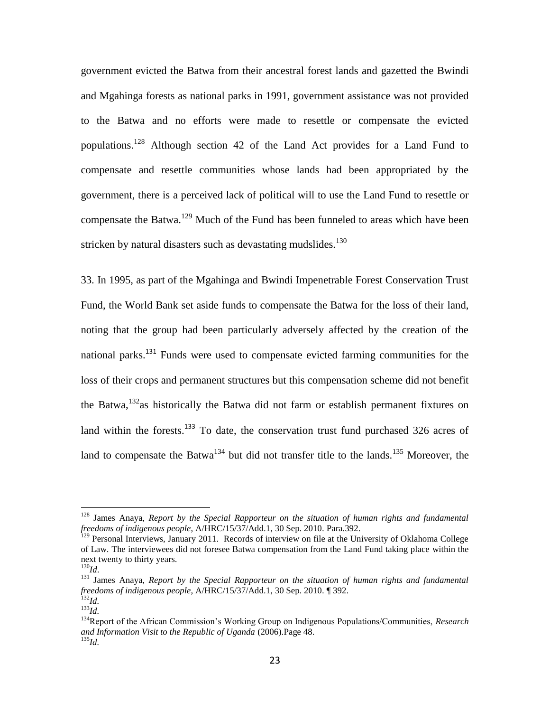government evicted the Batwa from their ancestral forest lands and gazetted the Bwindi and Mgahinga forests as national parks in 1991, government assistance was not provided to the Batwa and no efforts were made to resettle or compensate the evicted populations.<sup>128</sup> Although section 42 of the Land Act provides for a Land Fund to compensate and resettle communities whose lands had been appropriated by the government, there is a perceived lack of political will to use the Land Fund to resettle or compensate the Batwa.<sup>129</sup> Much of the Fund has been funneled to areas which have been stricken by natural disasters such as devastating mudslides. $130$ 

33. In 1995, as part of the Mgahinga and Bwindi Impenetrable Forest Conservation Trust Fund, the World Bank set aside funds to compensate the Batwa for the loss of their land, noting that the group had been particularly adversely affected by the creation of the national parks.<sup>131</sup> Funds were used to compensate evicted farming communities for the loss of their crops and permanent structures but this compensation scheme did not benefit the Batwa, $132$ <sub>as</sub> historically the Batwa did not farm or establish permanent fixtures on land within the forests. $133$  To date, the conservation trust fund purchased 326 acres of land to compensate the Batwa<sup>134</sup> but did not transfer title to the lands.<sup>135</sup> Moreover, the

<sup>128</sup> James Anaya, *Report by the Special Rapporteur on the situation of human rights and fundamental freedoms of indigenous people*, A/HRC/15/37/Add.1, 30 Sep. 2010. Para.392.

<sup>&</sup>lt;sup>129</sup> Personal Interviews, January 2011. Records of interview on file at the University of Oklahoma College of Law. The interviewees did not foresee Batwa compensation from the Land Fund taking place within the next twenty to thirty years.

<sup>130</sup>*Id*.

<sup>131</sup> James Anaya, *Report by the Special Rapporteur on the situation of human rights and fundamental freedoms of indigenous people*, A/HRC/15/37/Add.1, 30 Sep. 2010. ¶ 392.  $132$ *Id.* 

<sup>133</sup>*Id.*

<sup>134</sup>Report of the African Commission's Working Group on Indigenous Populations/Communities, *Research and Information Visit to the Republic of Uganda* (2006).Page 48. <sup>135</sup>*Id.*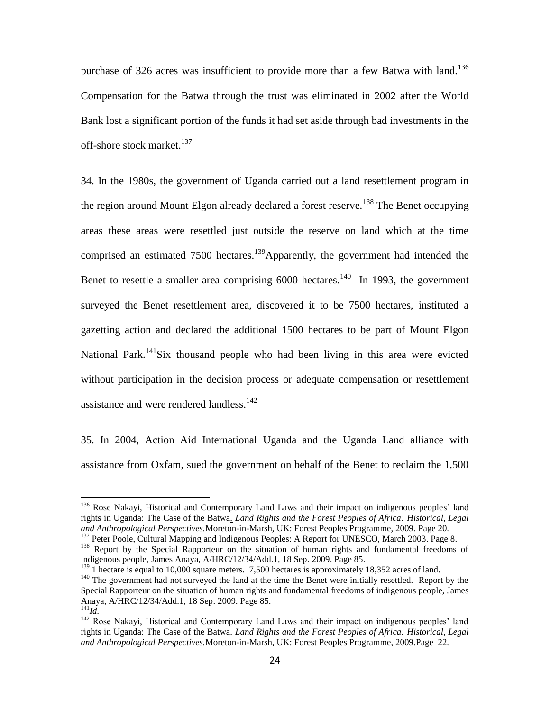purchase of 326 acres was insufficient to provide more than a few Batwa with land.<sup>136</sup> Compensation for the Batwa through the trust was eliminated in 2002 after the World Bank lost a significant portion of the funds it had set aside through bad investments in the off-shore stock market.<sup>137</sup>

34. In the 1980s, the government of Uganda carried out a land resettlement program in the region around Mount Elgon already declared a forest reserve.<sup>138</sup> The Benet occupying areas these areas were resettled just outside the reserve on land which at the time comprised an estimated 7500 hectares.<sup>139</sup>Apparently, the government had intended the Benet to resettle a smaller area comprising  $6000$  hectares.<sup>140</sup> In 1993, the government surveyed the Benet resettlement area, discovered it to be 7500 hectares, instituted a gazetting action and declared the additional 1500 hectares to be part of Mount Elgon National Park.<sup>141</sup>Six thousand people who had been living in this area were evicted without participation in the decision process or adequate compensation or resettlement assistance and were rendered landless.<sup>142</sup>

35. In 2004, Action Aid International Uganda and the Uganda Land alliance with assistance from Oxfam, sued the government on behalf of the Benet to reclaim the 1,500

<sup>&</sup>lt;sup>136</sup> Rose Nakayi, Historical and Contemporary Land Laws and their impact on indigenous peoples' land rights in Uganda: The Case of the Batwa*. Land Rights and the Forest Peoples of Africa: Historical, Legal and Anthropological Perspectives.*Moreton-in-Marsh, UK: Forest Peoples Programme, 2009. Page 20.

<sup>&</sup>lt;sup>137</sup> Peter Poole, Cultural Mapping and Indigenous Peoples: A Report for UNESCO, March 2003. Page 8.

<sup>&</sup>lt;sup>138</sup> Report by the Special Rapporteur on the situation of human rights and fundamental freedoms of indigenous people, James Anaya, A/HRC/12/34/Add.1, 18 Sep. 2009. Page 85.

 $^{139}$  1 hectare is equal to 10,000 square meters. 7,500 hectares is approximately 18,352 acres of land.

<sup>&</sup>lt;sup>140</sup> The government had not surveyed the land at the time the Benet were initially resettled. Report by the Special Rapporteur on the situation of human rights and fundamental freedoms of indigenous people, James Anaya, A/HRC/12/34/Add.1, 18 Sep. 2009. Page 85.

<sup>141</sup>*Id.*

<sup>&</sup>lt;sup>142</sup> Rose Nakayi, Historical and Contemporary Land Laws and their impact on indigenous peoples' land rights in Uganda: The Case of the Batwa*. Land Rights and the Forest Peoples of Africa: Historical, Legal and Anthropological Perspectives.*Moreton-in-Marsh, UK: Forest Peoples Programme, 2009.Page 22.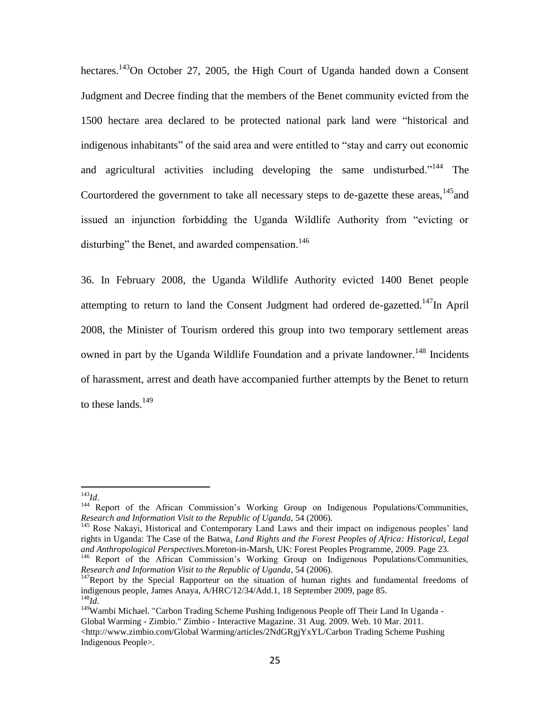hectares.<sup>143</sup>On October 27, 2005, the High Court of Uganda handed down a Consent Judgment and Decree finding that the members of the Benet community evicted from the 1500 hectare area declared to be protected national park land were "historical and indigenous inhabitants" of the said area and were entitled to "stay and carry out economic and agricultural activities including developing the same undisturbed."<sup>144</sup> The Courtordered the government to take all necessary steps to de-gazette these areas,  $145$  and issued an injunction forbidding the Uganda Wildlife Authority from "evicting or disturbing" the Benet, and awarded compensation.<sup>146</sup>

36. In February 2008, the Uganda Wildlife Authority evicted 1400 Benet people attempting to return to land the Consent Judgment had ordered de-gazetted.<sup>147</sup>In April 2008, the Minister of Tourism ordered this group into two temporary settlement areas owned in part by the Uganda Wildlife Foundation and a private landowner.<sup>148</sup> Incidents of harassment, arrest and death have accompanied further attempts by the Benet to return to these lands. $149$ 

<sup>143</sup>*Id*.

<sup>&</sup>lt;sup>144</sup> Report of the African Commission's Working Group on Indigenous Populations/Communities, *Research and Information Visit to the Republic of Uganda*, 54 (2006).

<sup>&</sup>lt;sup>145</sup> Rose Nakayi, Historical and Contemporary Land Laws and their impact on indigenous peoples' land rights in Uganda: The Case of the Batwa*. Land Rights and the Forest Peoples of Africa: Historical, Legal and Anthropological Perspectives.*Moreton-in-Marsh, UK: Forest Peoples Programme, 2009. Page 23.

<sup>&</sup>lt;sup>146</sup> Report of the African Commission's Working Group on Indigenous Populations/Communities, *Research and Information Visit to the Republic of Uganda*, 54 (2006).

 $147$ Report by the Special Rapporteur on the situation of human rights and fundamental freedoms of indigenous people, James Anaya, A/HRC/12/34/Add.1, 18 September 2009, page 85. <sup>148</sup>*Id.*

<sup>&</sup>lt;sup>149</sup>Wambi Michael. "Carbon Trading Scheme Pushing Indigenous People off Their Land In Uganda -Global Warming - Zimbio." Zimbio - Interactive Magazine. 31 Aug. 2009. Web. 10 Mar. 2011. <http://www.zimbio.com/Global Warming/articles/2NdGRgjYxYL/Carbon Trading Scheme Pushing Indigenous People>.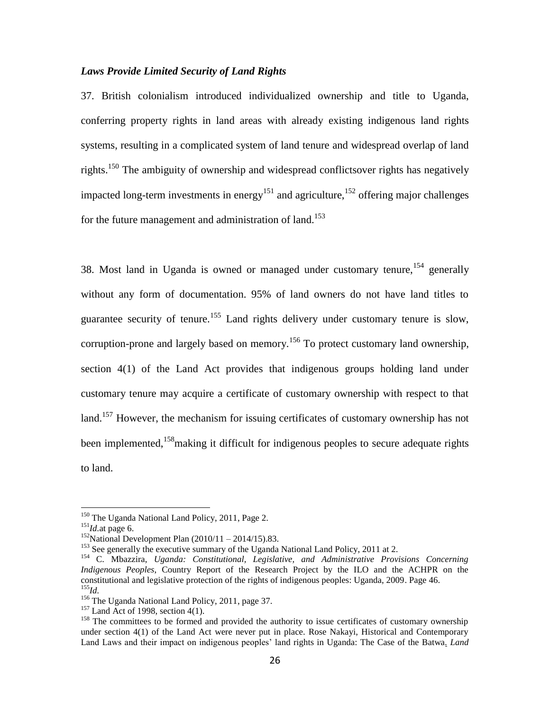#### *Laws Provide Limited Security of Land Rights*

37. British colonialism introduced individualized ownership and title to Uganda, conferring property rights in land areas with already existing indigenous land rights systems, resulting in a complicated system of land tenure and widespread overlap of land rights.<sup>150</sup> The ambiguity of ownership and widespread conflictsover rights has negatively impacted long-term investments in energy<sup>151</sup> and agriculture, <sup>152</sup> offering major challenges for the future management and administration of land.<sup>153</sup>

38. Most land in Uganda is owned or managed under customary tenure,  $154$  generally without any form of documentation. 95% of land owners do not have land titles to guarantee security of tenure.<sup>155</sup> Land rights delivery under customary tenure is slow, corruption-prone and largely based on memory.<sup>156</sup> To protect customary land ownership, section 4(1) of the Land Act provides that indigenous groups holding land under customary tenure may acquire a certificate of customary ownership with respect to that land.<sup>157</sup> However, the mechanism for issuing certificates of customary ownership has not been implemented, <sup>158</sup> making it difficult for indigenous peoples to secure adequate rights to land.

<sup>&</sup>lt;sup>150</sup> The Uganda National Land Policy, 2011, Page 2.

<sup>151</sup>*Id.*at page 6.

 $152$ National Development Plan (2010/11 – 2014/15).83.

<sup>&</sup>lt;sup>153</sup> See generally the executive summary of the Uganda National Land Policy, 2011 at 2.

<sup>154</sup> C. Mbazzira, *Uganda: Constitutional, Legislative, and Administrative Provisions Concerning Indigenous Peoples*, Country Report of the Research Project by the ILO and the ACHPR on the constitutional and legislative protection of the rights of indigenous peoples: Uganda, 2009. Page 46. <sup>155</sup>*Id.*

<sup>&</sup>lt;sup>156</sup> The Uganda National Land Policy, 2011, page 37.

 $157$  Land Act of 1998, section 4(1).

<sup>&</sup>lt;sup>158</sup> The committees to be formed and provided the authority to issue certificates of customary ownership under section 4(1) of the Land Act were never put in place. Rose Nakayi, Historical and Contemporary Land Laws and their impact on indigenous peoples' land rights in Uganda: The Case of the Batwa*. Land*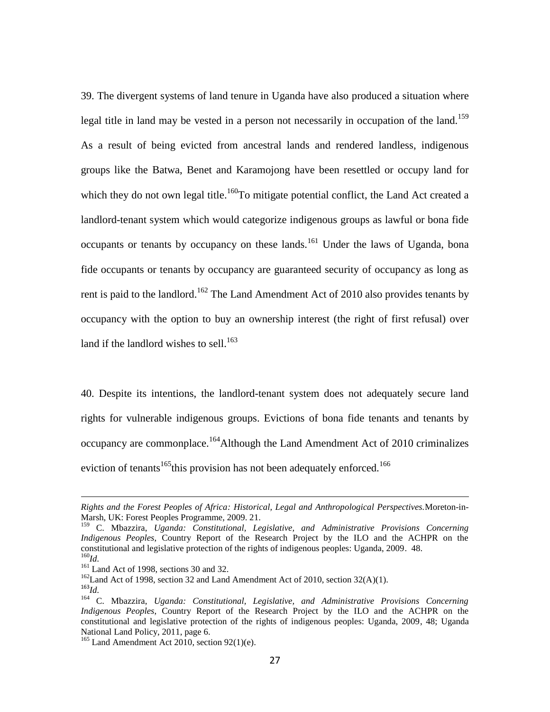39. The divergent systems of land tenure in Uganda have also produced a situation where legal title in land may be vested in a person not necessarily in occupation of the land.<sup>159</sup> As a result of being evicted from ancestral lands and rendered landless, indigenous groups like the Batwa, Benet and Karamojong have been resettled or occupy land for which they do not own legal title.<sup>160</sup>To mitigate potential conflict, the Land Act created a landlord-tenant system which would categorize indigenous groups as lawful or bona fide occupants or tenants by occupancy on these lands.<sup>161</sup> Under the laws of Uganda, bona fide occupants or tenants by occupancy are guaranteed security of occupancy as long as rent is paid to the landlord.<sup>162</sup> The Land Amendment Act of 2010 also provides tenants by occupancy with the option to buy an ownership interest (the right of first refusal) over land if the landlord wishes to sell.<sup>163</sup>

40. Despite its intentions, the landlord-tenant system does not adequately secure land rights for vulnerable indigenous groups. Evictions of bona fide tenants and tenants by occupancy are commonplace.<sup>164</sup>Although the Land Amendment Act of 2010 criminalizes eviction of tenants<sup>165</sup>this provision has not been adequately enforced.<sup>166</sup>

 $162$ Land Act of 1998, section 32 and Land Amendment Act of 2010, section 32(A)(1).

*Rights and the Forest Peoples of Africa: Historical, Legal and Anthropological Perspectives.*Moreton-in-Marsh, UK: Forest Peoples Programme, 2009. 21.

<sup>159</sup> C. Mbazzira, *Uganda: Constitutional, Legislative, and Administrative Provisions Concerning Indigenous Peoples*, Country Report of the Research Project by the ILO and the ACHPR on the constitutional and legislative protection of the rights of indigenous peoples: Uganda, 2009. 48. <sup>160</sup>*Id.*

 $161$  Land Act of 1998, sections 30 and 32.

<sup>163</sup>*Id.*

<sup>164</sup> C. Mbazzira, *Uganda: Constitutional, Legislative, and Administrative Provisions Concerning Indigenous Peoples*, Country Report of the Research Project by the ILO and the ACHPR on the constitutional and legislative protection of the rights of indigenous peoples: Uganda, 2009, 48; Uganda National Land Policy, 2011, page 6.

 $165$  Land Amendment Act 2010, section 92(1)(e).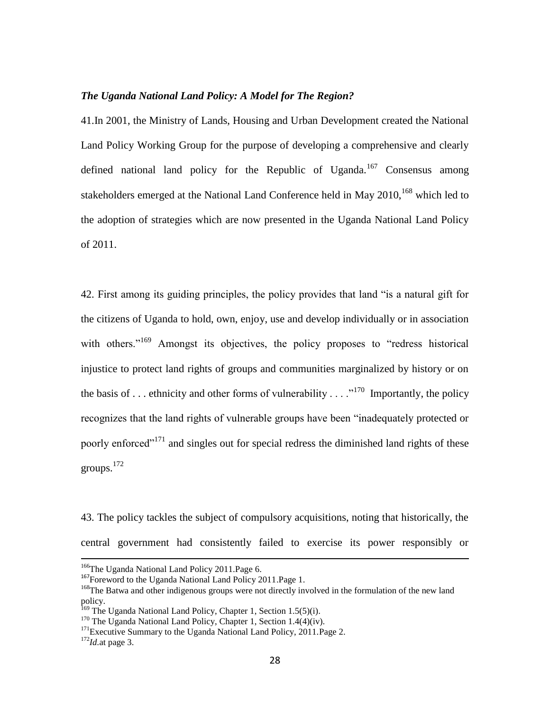### *The Uganda National Land Policy: A Model for The Region?*

41.In 2001, the Ministry of Lands, Housing and Urban Development created the National Land Policy Working Group for the purpose of developing a comprehensive and clearly defined national land policy for the Republic of Uganda.<sup>167</sup> Consensus among stakeholders emerged at the National Land Conference held in May  $2010<sup>168</sup>$  which led to the adoption of strategies which are now presented in the Uganda National Land Policy of 2011.

42. First among its guiding principles, the policy provides that land "is a natural gift for the citizens of Uganda to hold, own, enjoy, use and develop individually or in association with others."<sup>169</sup> Amongst its objectives, the policy proposes to "redress historical injustice to protect land rights of groups and communities marginalized by history or on the basis of ... ethnicity and other forms of vulnerability ...  $\cdot$ <sup>170</sup> Importantly, the policy recognizes that the land rights of vulnerable groups have been "inadequately protected or poorly enforced<sup>"171</sup> and singles out for special redress the diminished land rights of these groups.<sup>172</sup>

43. The policy tackles the subject of compulsory acquisitions, noting that historically, the central government had consistently failed to exercise its power responsibly or

<sup>&</sup>lt;sup>166</sup>The Uganda National Land Policy 2011. Page 6.

<sup>&</sup>lt;sup>167</sup>Foreword to the Uganda National Land Policy 2011. Page 1.

<sup>&</sup>lt;sup>168</sup>The Batwa and other indigenous groups were not directly involved in the formulation of the new land policy.

<sup>&</sup>lt;sup>169</sup> The Uganda National Land Policy, Chapter 1, Section 1.5(5)(i).

 $170$  The Uganda National Land Policy, Chapter 1, Section 1.4(4)(iv).

 $171$ Executive Summary to the Uganda National Land Policy, 2011. Page 2.

<sup>172</sup>*Id.*at page 3.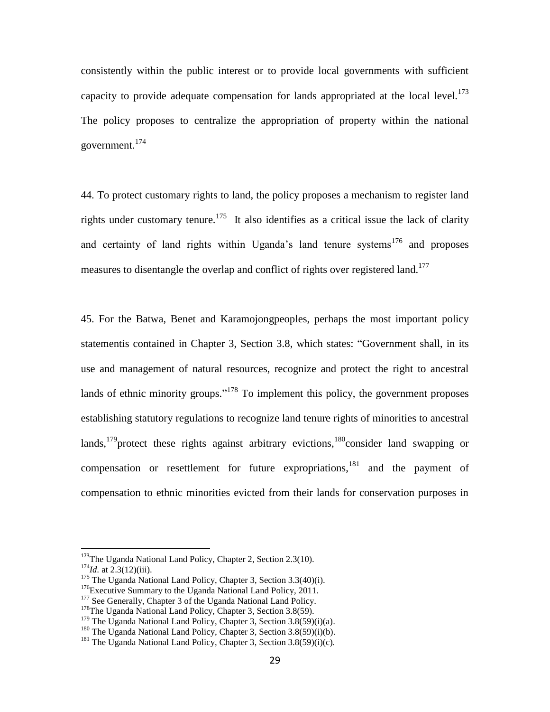consistently within the public interest or to provide local governments with sufficient capacity to provide adequate compensation for lands appropriated at the local level.<sup>173</sup> The policy proposes to centralize the appropriation of property within the national government.<sup>174</sup>

44. To protect customary rights to land, the policy proposes a mechanism to register land rights under customary tenure.<sup>175</sup> It also identifies as a critical issue the lack of clarity and certainty of land rights within Uganda's land tenure systems<sup>176</sup> and proposes measures to disentangle the overlap and conflict of rights over registered land.<sup>177</sup>

45. For the Batwa, Benet and Karamojongpeoples, perhaps the most important policy statementis contained in Chapter 3, Section 3.8, which states: "Government shall, in its use and management of natural resources, recognize and protect the right to ancestral lands of ethnic minority groups."<sup>178</sup> To implement this policy, the government proposes establishing statutory regulations to recognize land tenure rights of minorities to ancestral lands,  $179$  protect these rights against arbitrary evictions,  $180$  consider land swapping or compensation or resettlement for future expropriations,  $^{181}$  and the payment of compensation to ethnic minorities evicted from their lands for conservation purposes in

<sup>&</sup>lt;sup>173</sup>The Uganda National Land Policy, Chapter 2, Section 2.3(10).

 $174$ *Id.* at 2.3(12)(iii).

 $175$  The Uganda National Land Policy, Chapter 3, Section 3.3(40)(i).

<sup>&</sup>lt;sup>176</sup>Executive Summary to the Uganda National Land Policy, 2011.

<sup>&</sup>lt;sup>177</sup> See Generally, Chapter 3 of the Uganda National Land Policy.

<sup>&</sup>lt;sup>178</sup>The Uganda National Land Policy, Chapter 3, Section 3.8(59).

<sup>&</sup>lt;sup>179</sup> The Uganda National Land Policy, Chapter 3, Section  $3.8(59)(i)(a)$ .

<sup>&</sup>lt;sup>180</sup> The Uganda National Land Policy, Chapter 3, Section  $3.8(59)(i)(b)$ .

<sup>&</sup>lt;sup>181</sup> The Uganda National Land Policy, Chapter 3, Section  $3.8(59)(i)(c)$ .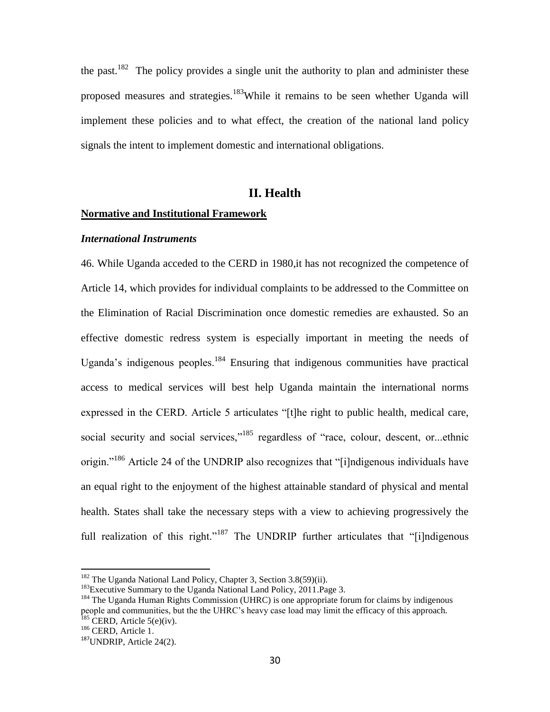the past.<sup>182</sup> The policy provides a single unit the authority to plan and administer these proposed measures and strategies.<sup>183</sup>While it remains to be seen whether Uganda will implement these policies and to what effect, the creation of the national land policy signals the intent to implement domestic and international obligations.

# **II. Health**

#### **Normative and Institutional Framework**

#### *International Instruments*

46. While Uganda acceded to the CERD in 1980,it has not recognized the competence of Article 14, which provides for individual complaints to be addressed to the Committee on the Elimination of Racial Discrimination once domestic remedies are exhausted. So an effective domestic redress system is especially important in meeting the needs of Uganda's indigenous peoples.<sup>184</sup> Ensuring that indigenous communities have practical access to medical services will best help Uganda maintain the international norms expressed in the CERD. Article 5 articulates "[t]he right to public health, medical care, social security and social services," $185$  regardless of "race, colour, descent, or...ethnic origin."<sup>186</sup> Article 24 of the UNDRIP also recognizes that "[i]ndigenous individuals have an equal right to the enjoyment of the highest attainable standard of physical and mental health. States shall take the necessary steps with a view to achieving progressively the full realization of this right."<sup>187</sup> The UNDRIP further articulates that "[i]ndigenous

 $182$  The Uganda National Land Policy, Chapter 3, Section 3.8(59)(ii).

<sup>&</sup>lt;sup>183</sup>Executive Summary to the Uganda National Land Policy, 2011. Page 3.

<sup>&</sup>lt;sup>184</sup> The Uganda Human Rights Commission (UHRC) is one appropriate forum for claims by indigenous people and communities, but the the UHRC's heavy case load may limit the efficacy of this approach.  $185$  CERD, Article 5(e)(iv).

<sup>&</sup>lt;sup>186</sup> CERD, Article 1.

 $187$ UNDRIP, Article 24(2).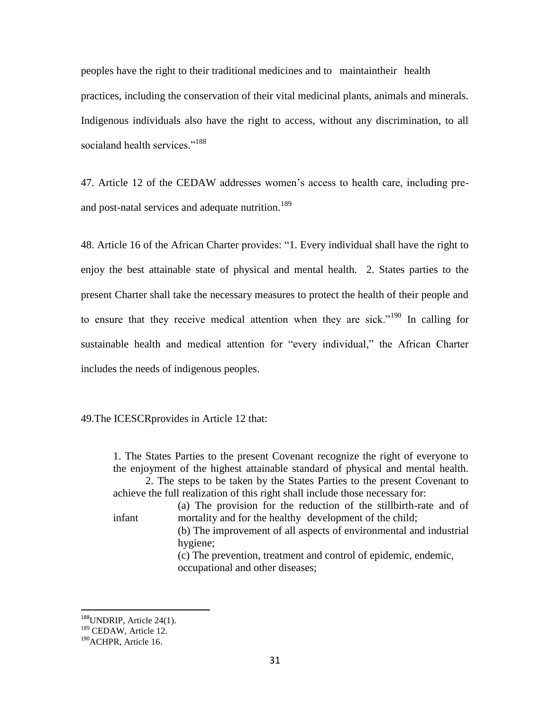peoples have the right to their traditional medicines and to maintaintheir health practices, including the conservation of their vital medicinal plants, animals and minerals. Indigenous individuals also have the right to access, without any discrimination, to all socialand health services."<sup>188</sup>

47. Article 12 of the CEDAW addresses women's access to health care, including preand post-natal services and adequate nutrition.<sup>189</sup>

48. Article 16 of the African Charter provides: "1. Every individual shall have the right to enjoy the best attainable state of physical and mental health. 2. States parties to the present Charter shall take the necessary measures to protect the health of their people and to ensure that they receive medical attention when they are sick.<sup> $190$ </sup> In calling for sustainable health and medical attention for "every individual," the African Charter includes the needs of indigenous peoples.

49.The ICESCRprovides in Article 12 that:

1. The States Parties to the present Covenant recognize the right of everyone to the enjoyment of the highest attainable standard of physical and mental health. 2. The steps to be taken by the States Parties to the present Covenant to

achieve the full realization of this right shall include those necessary for:

(a) The provision for the reduction of the stillbirth-rate and of infant mortality and for the healthy development of the child;

(b) The improvement of all aspects of environmental and industrial hygiene;

(c) The prevention, treatment and control of epidemic, endemic, occupational and other diseases;

<sup>&</sup>lt;sup>188</sup>UNDRIP, Article 24(1).

<sup>&</sup>lt;sup>189</sup> CEDAW, Article 12.

<sup>&</sup>lt;sup>190</sup>ACHPR, Article 16.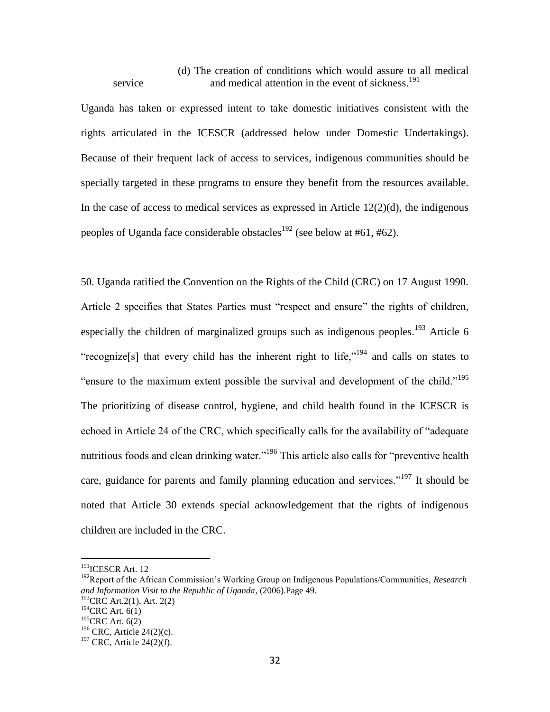(d) The creation of conditions which would assure to all medical service and medical attention in the event of sickness.<sup>191</sup>

Uganda has taken or expressed intent to take domestic initiatives consistent with the rights articulated in the ICESCR (addressed below under Domestic Undertakings). Because of their frequent lack of access to services, indigenous communities should be specially targeted in these programs to ensure they benefit from the resources available. In the case of access to medical services as expressed in Article  $12(2)(d)$ , the indigenous peoples of Uganda face considerable obstacles<sup>192</sup> (see below at #61, #62).

50. Uganda ratified the Convention on the Rights of the Child (CRC) on 17 August 1990. Article 2 specifies that States Parties must "respect and ensure" the rights of children, especially the children of marginalized groups such as indigenous peoples.<sup>193</sup> Article 6 "recognize[s] that every child has the inherent right to life,"<sup>194</sup> and calls on states to "ensure to the maximum extent possible the survival and development of the child."<sup>195</sup> The prioritizing of disease control, hygiene, and child health found in the ICESCR is echoed in Article 24 of the CRC, which specifically calls for the availability of "adequate" nutritious foods and clean drinking water."<sup>196</sup> This article also calls for "preventive health care, guidance for parents and family planning education and services."<sup>197</sup> It should be noted that Article 30 extends special acknowledgement that the rights of indigenous children are included in the CRC.

<sup>&</sup>lt;sup>191</sup>ICESCR Art. 12

<sup>192</sup>Report of the African Commission's Working Group on Indigenous Populations/Communities, *Research and Information Visit to the Republic of Uganda*, (2006).Page 49.  $193$ CRC Art. 2(1), Art. 2(2)

 $194$ CRC Art. 6(1)

 $195$ CRC Art. 6(2)

 $196$  CRC, Article 24(2)(c).  $197$  CRC, Article 24(2)(f).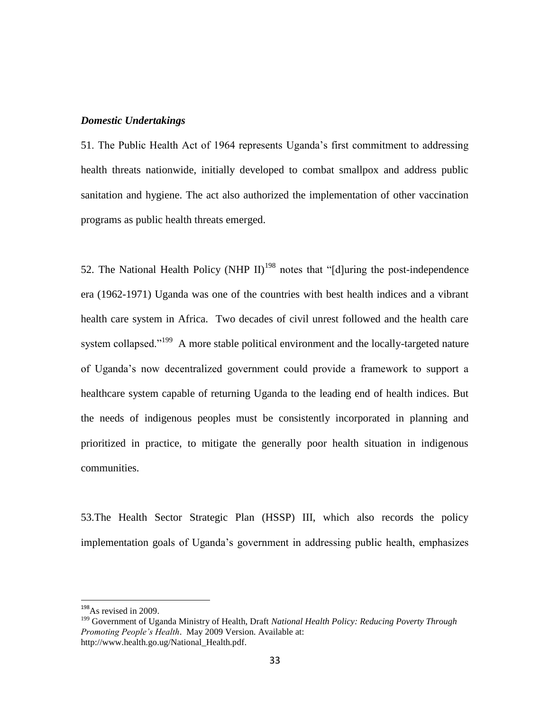#### *Domestic Undertakings*

51. The Public Health Act of 1964 represents Uganda's first commitment to addressing health threats nationwide, initially developed to combat smallpox and address public sanitation and hygiene. The act also authorized the implementation of other vaccination programs as public health threats emerged.

52. The National Health Policy (NHP II)<sup>198</sup> notes that "[d]uring the post-independence era (1962-1971) Uganda was one of the countries with best health indices and a vibrant health care system in Africa. Two decades of civil unrest followed and the health care system collapsed."<sup>199</sup> A more stable political environment and the locally-targeted nature of Uganda's now decentralized government could provide a framework to support a healthcare system capable of returning Uganda to the leading end of health indices. But the needs of indigenous peoples must be consistently incorporated in planning and prioritized in practice, to mitigate the generally poor health situation in indigenous communities.

53.The Health Sector Strategic Plan (HSSP) III, which also records the policy implementation goals of Uganda's government in addressing public health, emphasizes

<sup>&</sup>lt;sup>198</sup>As revised in 2009.

<sup>199</sup> Government of Uganda Ministry of Health, Draft *National Health Policy: Reducing Poverty Through Promoting People's Health*. May 2009 Version. Available at: http://www.health.go.ug/National\_Health.pdf.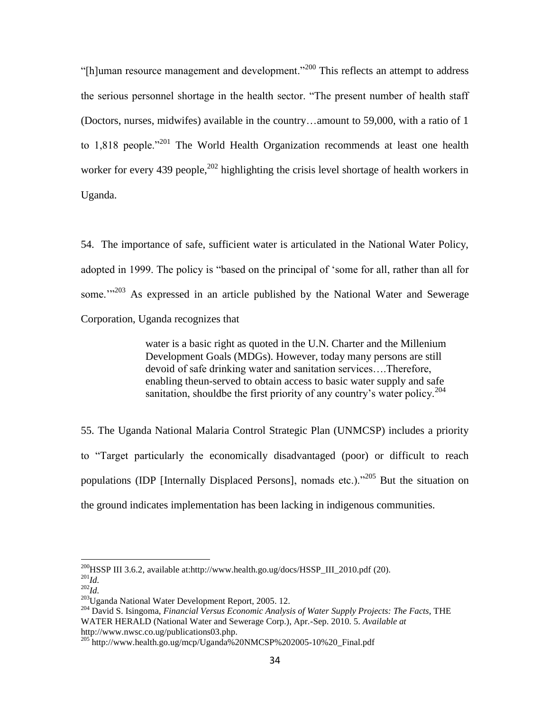"[h]uman resource management and development."<sup>200</sup> This reflects an attempt to address the serious personnel shortage in the health sector. "The present number of health staff (Doctors, nurses, midwifes) available in the country…amount to 59,000, with a ratio of 1 to  $1,818$  people."<sup>201</sup> The World Health Organization recommends at least one health worker for every 439 people,  $202$  highlighting the crisis level shortage of health workers in Uganda.

54. The importance of safe, sufficient water is articulated in the National Water Policy, adopted in 1999. The policy is "based on the principal of 'some for all, rather than all for some.'<sup>1,203</sup> As expressed in an article published by the National Water and Sewerage Corporation, Uganda recognizes that

> water is a basic right as quoted in the U.N. Charter and the Millenium Development Goals (MDGs). However, today many persons are still devoid of safe drinking water and sanitation services….Therefore, enabling theun-served to obtain access to basic water supply and safe sanitation, should be the first priority of any country's water policy.<sup>204</sup>

55. The Uganda National Malaria Control Strategic Plan (UNMCSP) includes a priority to "Target particularly the economically disadvantaged (poor) or difficult to reach populations (IDP [Internally Displaced Persons], nomads etc.)."<sup>205</sup> But the situation on the ground indicates implementation has been lacking in indigenous communities.

 $^{200}$ HSSP III 3.6.2, available at[:http://www.health.go.ug/docs/HSSP\\_III\\_2010.pdf](http://www.health.go.ug/docs/HSSP_III_2010.pdf) (20).

<sup>201</sup>*Id.* <sup>202</sup>*Id.*

<sup>203</sup>Uganda National Water Development Report, 2005. 12.

<sup>204</sup> David S. Isingoma, *Financial Versus Economic Analysis of Water Supply Projects: The Facts*, THE WATER HERALD (National Water and Sewerage Corp.), Apr.-Sep. 2010. 5. *Available at* http://www.nwsc.co.ug/publications03.php.

<sup>205</sup> http://www.health.go.ug/mcp/Uganda%20NMCSP%202005-10%20\_Final.pdf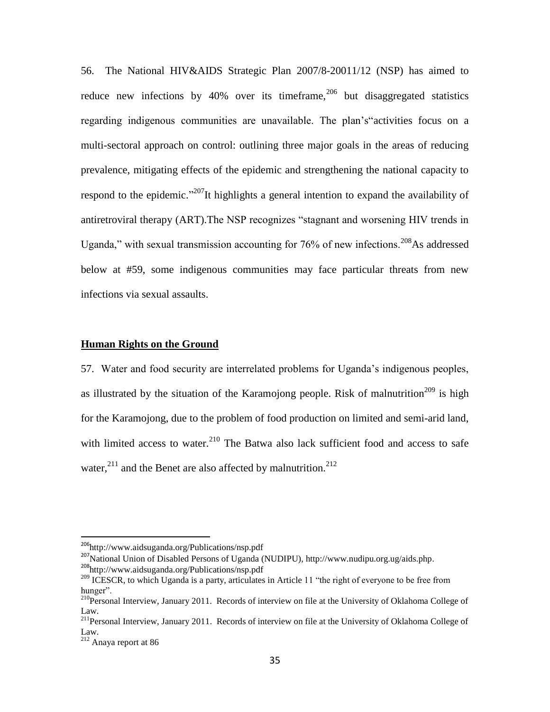56. The National HIV&AIDS Strategic Plan 2007/8-20011/12 (NSP) has aimed to reduce new infections by  $40\%$  over its timeframe,<sup>206</sup> but disaggregated statistics regarding indigenous communities are unavailable. The plan's activities focus on a multi-sectoral approach on control: outlining three major goals in the areas of reducing prevalence, mitigating effects of the epidemic and strengthening the national capacity to respond to the epidemic.<sup>"207</sup>It highlights a general intention to expand the availability of antiretroviral therapy (ART). The NSP recognizes "stagnant and worsening HIV trends in Uganda," with sexual transmission accounting for  $76\%$  of new infections.<sup>208</sup>As addressed below at #59, some indigenous communities may face particular threats from new infections via sexual assaults.

#### **Human Rights on the Ground**

57. Water and food security are interrelated problems for Uganda's indigenous peoples, as illustrated by the situation of the Karamojong people. Risk of malnutrition<sup>209</sup> is high for the Karamojong, due to the problem of food production on limited and semi-arid land, with limited access to water.<sup>210</sup> The Batwa also lack sufficient food and access to safe water,  $^{211}$  and the Benet are also affected by malnutrition.<sup>212</sup>

<sup>&</sup>lt;sup>206</sup><http://www.aidsuganda.org/Publications/nsp.pdf>

<sup>207</sup>National Union of Disabled Persons of Uganda (NUDIPU), http://www.nudipu.org.ug/aids.php. <sup>208</sup><http://www.aidsuganda.org/Publications/nsp.pdf>

 $209$  ICESCR, to which Uganda is a party, articulates in Article 11 "the right of everyone to be free from hunger".

 $^{210}$ Personal Interview, January 2011. Records of interview on file at the University of Oklahoma College of Law.

<sup>&</sup>lt;sup>211</sup>Personal Interview, January 2011. Records of interview on file at the University of Oklahoma College of Law.

<sup>212</sup> Anaya report at 86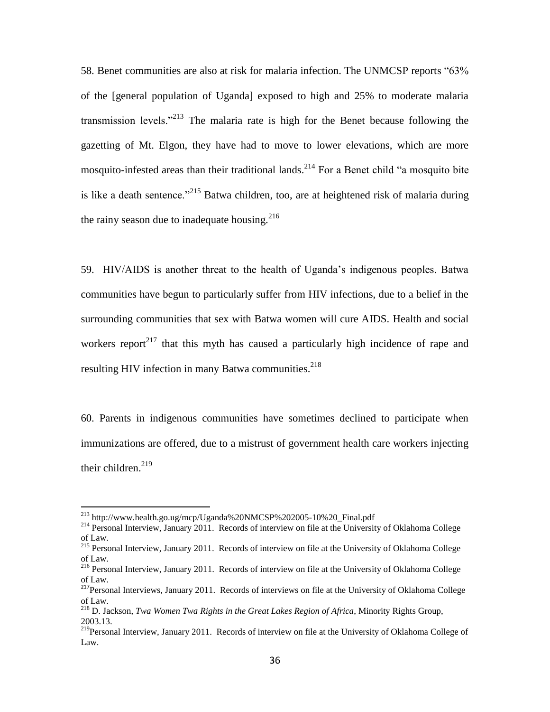58. Benet communities are also at risk for malaria infection. The UNMCSP reports "63% of the [general population of Uganda] exposed to high and 25% to moderate malaria transmission levels."<sup>213</sup> The malaria rate is high for the Benet because following the gazetting of Mt. Elgon, they have had to move to lower elevations, which are more mosquito-infested areas than their traditional lands.<sup>214</sup> For a Benet child "a mosquito bite is like a death sentence.<sup> $215$ </sup> Batwa children, too, are at heightened risk of malaria during the rainy season due to inadequate housing. $^{216}$ 

59. HIV/AIDS is another threat to the health of Uganda's indigenous peoples. Batwa communities have begun to particularly suffer from HIV infections, due to a belief in the surrounding communities that sex with Batwa women will cure AIDS. Health and social workers report<sup>217</sup> that this myth has caused a particularly high incidence of rape and resulting HIV infection in many Batwa communities. $2^{18}$ 

60. Parents in indigenous communities have sometimes declined to participate when immunizations are offered, due to a mistrust of government health care workers injecting their children. $^{219}$ 

<sup>&</sup>lt;sup>213</sup> http://www.health.go.ug/mcp/Uganda%20NMCSP%202005-10%20\_Final.pdf

<sup>&</sup>lt;sup>214</sup> Personal Interview, January 2011. Records of interview on file at the University of Oklahoma College of Law.

<sup>&</sup>lt;sup>215</sup> Personal Interview, January 2011. Records of interview on file at the University of Oklahoma College of Law.

<sup>&</sup>lt;sup>216</sup> Personal Interview, January 2011. Records of interview on file at the University of Oklahoma College of Law.

<sup>&</sup>lt;sup>217</sup>Personal Interviews, January 2011. Records of interviews on file at the University of Oklahoma College of Law.

<sup>218</sup> D. Jackson, *Twa Women Twa Rights in the Great Lakes Region of Africa*, Minority Rights Group, 2003.13.

<sup>&</sup>lt;sup>219</sup>Personal Interview, January 2011. Records of interview on file at the University of Oklahoma College of Law.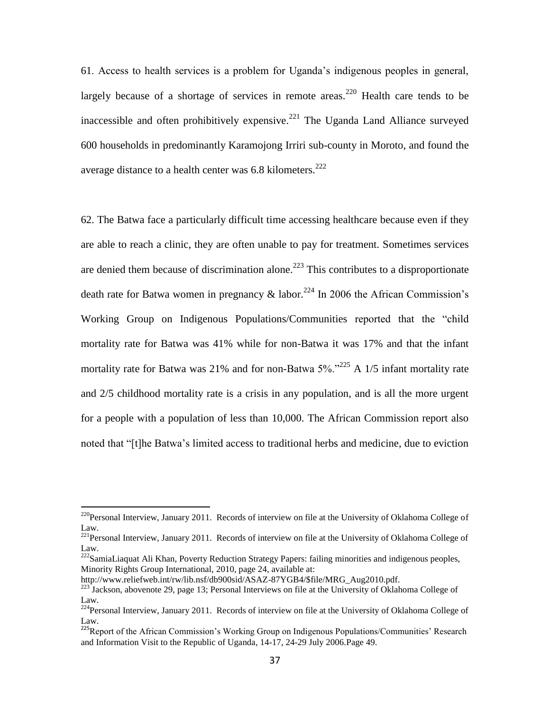61. Access to health services is a problem for Uganda's indigenous peoples in general, largely because of a shortage of services in remote areas.<sup>220</sup> Health care tends to be inaccessible and often prohibitively expensive.<sup>221</sup> The Uganda Land Alliance surveyed 600 households in predominantly Karamojong Irriri sub-county in Moroto, and found the average distance to a health center was  $6.8$  kilometers.<sup>222</sup>

62. The Batwa face a particularly difficult time accessing healthcare because even if they are able to reach a clinic, they are often unable to pay for treatment. Sometimes services are denied them because of discrimination alone.<sup>223</sup> This contributes to a disproportionate death rate for Batwa women in pregnancy  $\&$  labor.<sup>224</sup> In 2006 the African Commission's Working Group on Indigenous Populations/Communities reported that the "child" mortality rate for Batwa was 41% while for non-Batwa it was 17% and that the infant mortality rate for Batwa was 21% and for non-Batwa  $5\%$ .<sup>225</sup> A 1/5 infant mortality rate and 2/5 childhood mortality rate is a crisis in any population, and is all the more urgent for a people with a population of less than 10,000. The African Commission report also noted that "[t]he Batwa's limited access to traditional herbs and medicine, due to eviction

 $^{220}$ Personal Interview, January 2011. Records of interview on file at the University of Oklahoma College of Law.

<sup>&</sup>lt;sup>221</sup>Personal Interview, January 2011. Records of interview on file at the University of Oklahoma College of Law.

<sup>222</sup>SamiaLiaquat Ali Khan, Poverty Reduction Strategy Papers: failing minorities and indigenous peoples, Minority Rights Group International, 2010, page 24, available at:

http://www.reliefweb.int/rw/lib.nsf/db900sid/ASAZ-87YGB4/\$file/MRG\_Aug2010.pdf.

<sup>&</sup>lt;sup>223</sup> Jackson, abovenote 29, page 13; Personal Interviews on file at the University of Oklahoma College of Law.

<sup>224</sup>Personal Interview, January 2011. Records of interview on file at the University of Oklahoma College of Law.

<sup>&</sup>lt;sup>225</sup>Report of the African Commission's Working Group on Indigenous Populations/Communities' Research and Information Visit to the Republic of Uganda, 14-17, 24-29 July 2006.Page 49.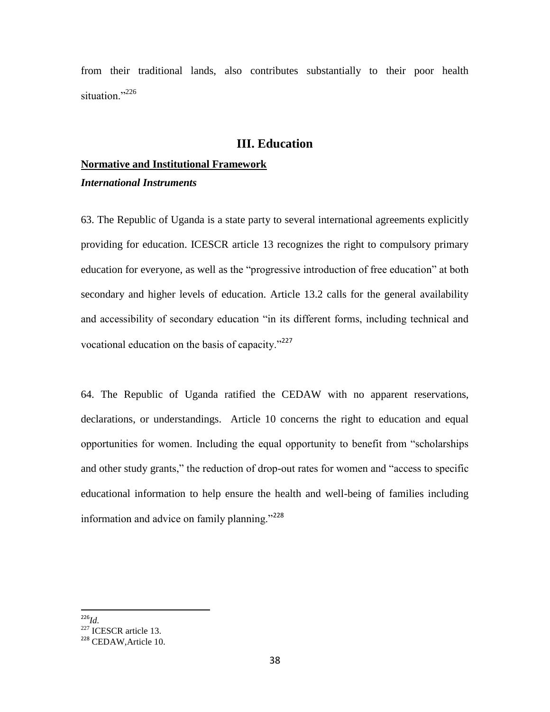from their traditional lands, also contributes substantially to their poor health situation<sup>"226</sup>

# **III. Education**

# **Normative and Institutional Framework** *International Instruments*

63. The Republic of Uganda is a state party to several international agreements explicitly providing for education. ICESCR article 13 recognizes the right to compulsory primary education for everyone, as well as the "progressive introduction of free education" at both secondary and higher levels of education. Article 13.2 calls for the general availability and accessibility of secondary education "in its different forms, including technical and vocational education on the basis of capacity. $v^{227}$ 

64. The Republic of Uganda ratified the CEDAW with no apparent reservations, declarations, or understandings. Article 10 concerns the right to education and equal opportunities for women. Including the equal opportunity to benefit from "scholarships and other study grants," the reduction of drop-out rates for women and "access to specific educational information to help ensure the health and well-being of families including information and advice on family planning." $228$ 

 $\overline{a}$ <sup>226</sup>*Id.*

 $^{144}$ .<br><sup>227</sup> ICESCR article 13.

<sup>228</sup> CEDAW,Article 10.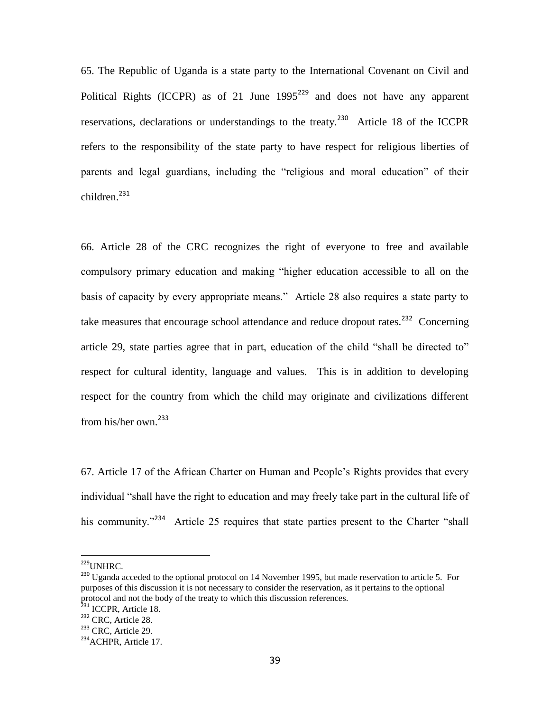65. The Republic of Uganda is a state party to the International Covenant on Civil and Political Rights (ICCPR) as of 21 June  $1995^{229}$  and does not have any apparent reservations, declarations or understandings to the treaty.<sup>230</sup> Article 18 of the ICCPR refers to the responsibility of the state party to have respect for religious liberties of parents and legal guardians, including the "religious and moral education" of their children. $^{231}$ 

66. Article 28 of the CRC recognizes the right of everyone to free and available compulsory primary education and making "higher education accessible to all on the basis of capacity by every appropriate means." Article 28 also requires a state party to take measures that encourage school attendance and reduce dropout rates.<sup>232</sup> Concerning article 29, state parties agree that in part, education of the child "shall be directed to" respect for cultural identity, language and values. This is in addition to developing respect for the country from which the child may originate and civilizations different from his/her own.<sup>233</sup>

67. Article 17 of the African Charter on Human and People's Rights provides that every individual "shall have the right to education and may freely take part in the cultural life of his community.<sup>234</sup> Article 25 requires that state parties present to the Charter "shall"

<sup>&</sup>lt;sup>229</sup>UNHRC.

<sup>&</sup>lt;sup>230</sup> Uganda acceded to the optional protocol on 14 November 1995, but made reservation to article 5. For purposes of this discussion it is not necessary to consider the reservation, as it pertains to the optional protocol and not the body of the treaty to which this discussion references.

<sup>&</sup>lt;sup>231</sup> ICCPR, Article 18.

<sup>232</sup> CRC, Article 28.

<sup>&</sup>lt;sup>233</sup> CRC, Article 29.

<sup>&</sup>lt;sup>234</sup> ACHPR, Article 17.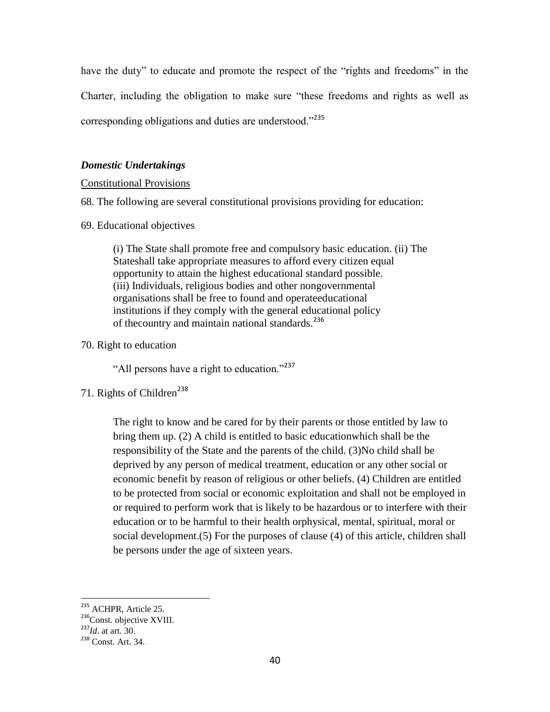have the duty" to educate and promote the respect of the "rights and freedoms" in the Charter, including the obligation to make sure "these freedoms and rights as well as corresponding obligations and duties are understood."<sup>235</sup>

## *Domestic Undertakings*

### Constitutional Provisions

68. The following are several constitutional provisions providing for education:

69. Educational objectives

(i) The State shall promote free and compulsory basic education. (ii) The Stateshall take appropriate measures to afford every citizen equal opportunity to attain the highest educational standard possible. (iii) Individuals, religious bodies and other nongovernmental organisations shall be free to found and operateeducational institutions if they comply with the general educational policy of the country and maintain national standards.<sup>236</sup>

70. Right to education

"All persons have a right to education."<sup>237</sup>

71. Rights of Children<sup>238</sup>

The right to know and be cared for by their parents or those entitled by law to bring them up. (2) A child is entitled to basic educationwhich shall be the responsibility of the State and the parents of the child. (3)No child shall be deprived by any person of medical treatment, education or any other social or economic benefit by reason of religious or other beliefs. (4) Children are entitled to be protected from social or economic exploitation and shall not be employed in or required to perform work that is likely to be hazardous or to interfere with their education or to be harmful to their health orphysical, mental, spiritual, moral or social development.(5) For the purposes of clause (4) of this article, children shall be persons under the age of sixteen years.

<sup>&</sup>lt;sup>235</sup> ACHPR, Article 25.

<sup>&</sup>lt;sup>236</sup>Const. objective XVIII.

<sup>237</sup>*Id*. at art. 30.

<sup>238</sup> Const. Art. 34.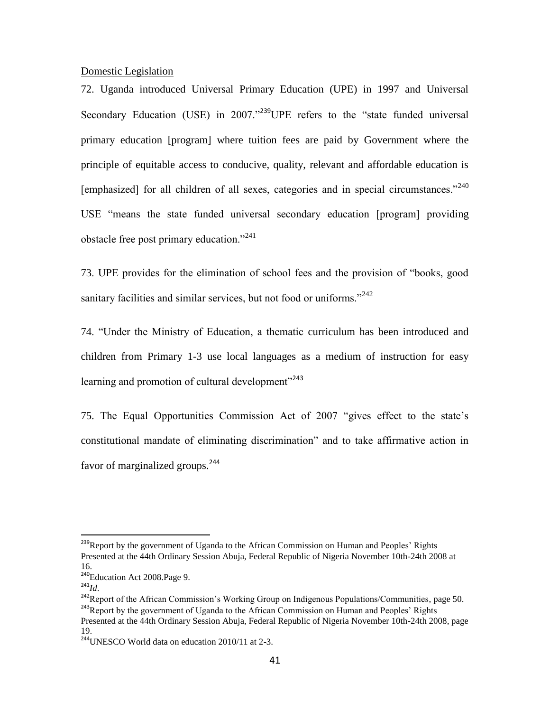Domestic Legislation

72. Uganda introduced Universal Primary Education (UPE) in 1997 and Universal Secondary Education (USE) in  $2007.^{^{1239}}$ UPE refers to the "state funded universal primary education [program] where tuition fees are paid by Government where the principle of equitable access to conducive, quality, relevant and affordable education is [emphasized] for all children of all sexes, categories and in special circumstances." $240$ USE "means the state funded universal secondary education [program] providing obstacle free post primary education."<sup>241</sup>

73. UPE provides for the elimination of school fees and the provision of "books, good sanitary facilities and similar services, but not food or uniforms."<sup>242</sup>

74. "Under the Ministry of Education, a thematic curriculum has been introduced and children from Primary 1-3 use local languages as a medium of instruction for easy learning and promotion of cultural development"<sup>243</sup>

75. The Equal Opportunities Commission Act of 2007 ―gives effect to the state's constitutional mandate of eliminating discrimination" and to take affirmative action in favor of marginalized groups.<sup>244</sup>

<sup>&</sup>lt;sup>239</sup>Report by the government of Uganda to the African Commission on Human and Peoples' Rights Presented at the 44th Ordinary Session Abuja, Federal Republic of Nigeria November 10th-24th 2008 at 16.

<sup>&</sup>lt;sup>240</sup>Education Act 2008.Page 9.

<sup>241</sup>*Id*.

<sup>&</sup>lt;sup>242</sup>Report of the African Commission's Working Group on Indigenous Populations/Communities, page 50. <sup>243</sup>Report by the government of Uganda to the African Commission on Human and Peoples' Rights Presented at the 44th Ordinary Session Abuja, Federal Republic of Nigeria November 10th-24th 2008, page 19.

 $244$ UNESCO World data on education 2010/11 at 2-3.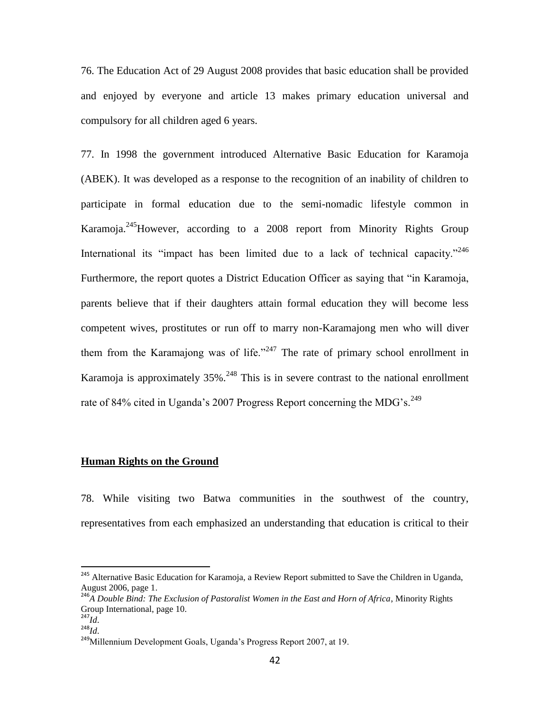76. The Education Act of 29 August 2008 provides that basic education shall be provided and enjoyed by everyone and article 13 makes primary education universal and compulsory for all children aged 6 years.

77. In 1998 the government introduced Alternative Basic Education for Karamoja (ABEK). It was developed as a response to the recognition of an inability of children to participate in formal education due to the semi-nomadic lifestyle common in Karamoja.<sup>245</sup>However, according to a 2008 report from Minority Rights Group International its "impact has been limited due to a lack of technical capacity."<sup>246</sup> Furthermore, the report quotes a District Education Officer as saying that "in Karamoja, parents believe that if their daughters attain formal education they will become less competent wives, prostitutes or run off to marry non-Karamajong men who will diver them from the Karamajong was of life." $247$  The rate of primary school enrollment in Karamoja is approximately  $35\%$ <sup>248</sup> This is in severe contrast to the national enrollment rate of 84% cited in Uganda's 2007 Progress Report concerning the MDG's.<sup>249</sup>

## **Human Rights on the Ground**

78. While visiting two Batwa communities in the southwest of the country, representatives from each emphasized an understanding that education is critical to their

<sup>&</sup>lt;sup>245</sup> Alternative Basic Education for Karamoja, a Review Report submitted to Save the Children in Uganda, August 2006, page 1.

<sup>246</sup>*A Double Bind: The Exclusion of Pastoralist Women in the East and Horn of Africa*, Minority Rights Group International, page 10.

<sup>247</sup>*Id*.

<sup>248</sup>*Id*.

<sup>&</sup>lt;sup>249</sup>Millennium Development Goals, Uganda's Progress Report 2007, at 19.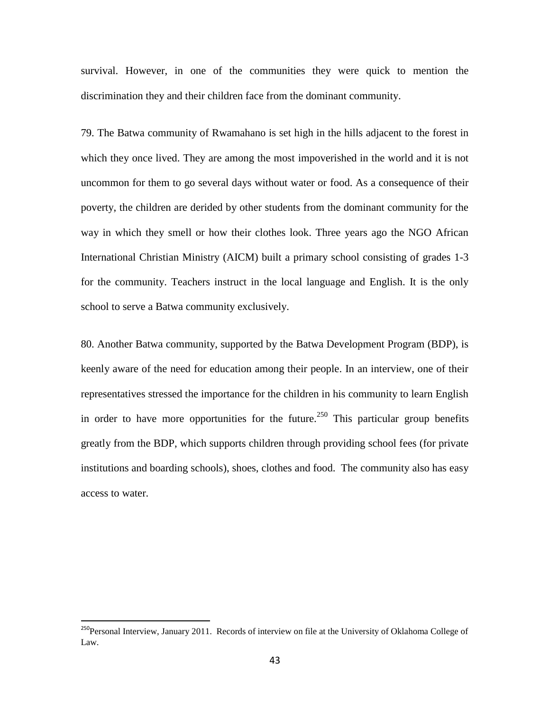survival. However, in one of the communities they were quick to mention the discrimination they and their children face from the dominant community.

79. The Batwa community of Rwamahano is set high in the hills adjacent to the forest in which they once lived. They are among the most impoverished in the world and it is not uncommon for them to go several days without water or food. As a consequence of their poverty, the children are derided by other students from the dominant community for the way in which they smell or how their clothes look. Three years ago the NGO African International Christian Ministry (AICM) built a primary school consisting of grades 1-3 for the community. Teachers instruct in the local language and English. It is the only school to serve a Batwa community exclusively.

80. Another Batwa community, supported by the Batwa Development Program (BDP), is keenly aware of the need for education among their people. In an interview, one of their representatives stressed the importance for the children in his community to learn English in order to have more opportunities for the future.<sup>250</sup> This particular group benefits greatly from the BDP, which supports children through providing school fees (for private institutions and boarding schools), shoes, clothes and food. The community also has easy access to water.

<sup>&</sup>lt;sup>250</sup>Personal Interview, January 2011. Records of interview on file at the University of Oklahoma College of Law.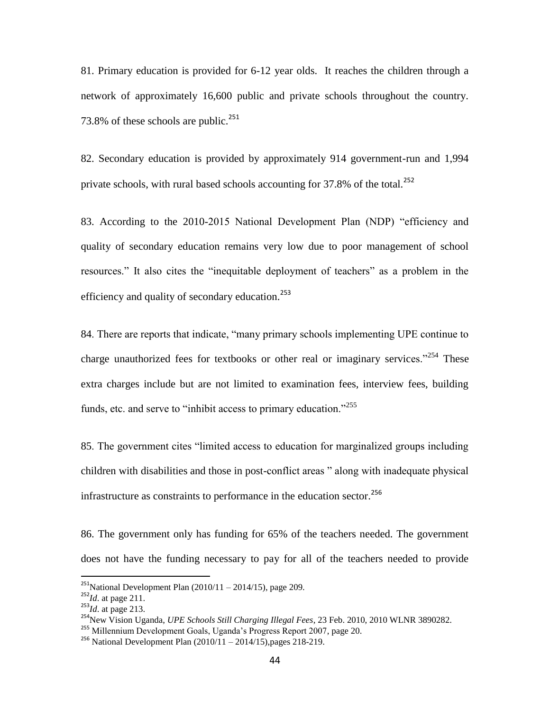81. Primary education is provided for 6-12 year olds. It reaches the children through a network of approximately 16,600 public and private schools throughout the country. 73.8% of these schools are public.<sup>251</sup>

82. Secondary education is provided by approximately 914 government-run and 1,994 private schools, with rural based schools accounting for  $37.8\%$  of the total.<sup>252</sup>

83. According to the 2010-2015 National Development Plan (NDP) "efficiency and quality of secondary education remains very low due to poor management of school resources." It also cites the "inequitable deployment of teachers" as a problem in the efficiency and quality of secondary education.<sup>253</sup>

84. There are reports that indicate, "many primary schools implementing UPE continue to charge unauthorized fees for textbooks or other real or imaginary services.<sup> $254$ </sup> These extra charges include but are not limited to examination fees, interview fees, building funds, etc. and serve to "inhibit access to primary education." $255$ 

85. The government cites "limited access to education for marginalized groups including children with disabilities and those in post-conflict areas " along with inadequate physical infrastructure as constraints to performance in the education sector.<sup>256</sup>

86. The government only has funding for 65% of the teachers needed. The government does not have the funding necessary to pay for all of the teachers needed to provide

 $^{251}$ National Development Plan (2010/11 – 2014/15), page 209.

<sup>252</sup>*Id*. at page 211.

<sup>253</sup>*Id*. at page 213.

<sup>254</sup>New Vision Uganda, *UPE Schools Still Charging Illegal Fees*, 23 Feb. 2010, 2010 WLNR 3890282.

<sup>255</sup> Millennium Development Goals, Uganda's Progress Report 2007, page 20.

<sup>&</sup>lt;sup>256</sup> National Development Plan  $(2010/11 - 2014/15)$ , pages 218-219.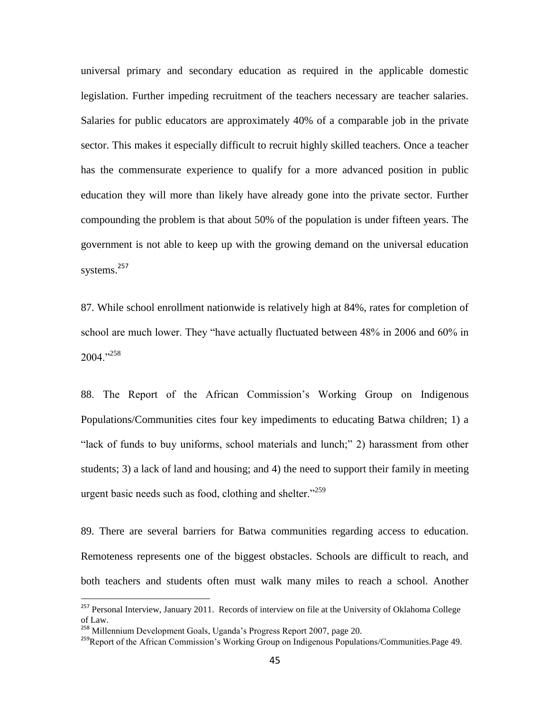universal primary and secondary education as required in the applicable domestic legislation. Further impeding recruitment of the teachers necessary are teacher salaries. Salaries for public educators are approximately 40% of a comparable job in the private sector. This makes it especially difficult to recruit highly skilled teachers. Once a teacher has the commensurate experience to qualify for a more advanced position in public education they will more than likely have already gone into the private sector. Further compounding the problem is that about 50% of the population is under fifteen years. The government is not able to keep up with the growing demand on the universal education systems.<sup>257</sup>

87. While school enrollment nationwide is relatively high at 84%, rates for completion of school are much lower. They "have actually fluctuated between 48% in 2006 and 60% in  $2004.$ <sup>258</sup>

88. The Report of the African Commission's Working Group on Indigenous Populations/Communities cites four key impediments to educating Batwa children; 1) a "lack of funds to buy uniforms, school materials and lunch;" 2) harassment from other students; 3) a lack of land and housing; and 4) the need to support their family in meeting urgent basic needs such as food, clothing and shelter."<sup>259</sup>

89. There are several barriers for Batwa communities regarding access to education. Remoteness represents one of the biggest obstacles. Schools are difficult to reach, and both teachers and students often must walk many miles to reach a school. Another

<sup>&</sup>lt;sup>257</sup> Personal Interview, January 2011. Records of interview on file at the University of Oklahoma College of Law.

<sup>&</sup>lt;sup>258</sup> Millennium Development Goals, Uganda's Progress Report 2007, page 20.

<sup>&</sup>lt;sup>259</sup>Report of the African Commission's Working Group on Indigenous Populations/Communities.Page 49.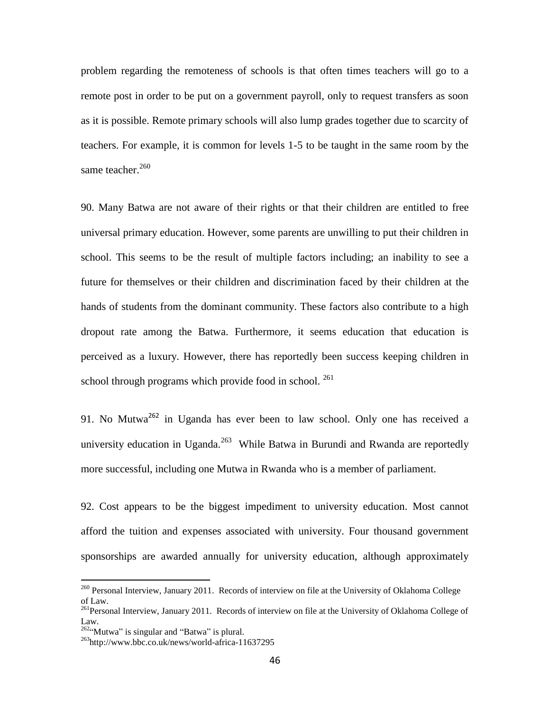problem regarding the remoteness of schools is that often times teachers will go to a remote post in order to be put on a government payroll, only to request transfers as soon as it is possible. Remote primary schools will also lump grades together due to scarcity of teachers. For example, it is common for levels 1-5 to be taught in the same room by the same teacher.<sup>260</sup>

90. Many Batwa are not aware of their rights or that their children are entitled to free universal primary education. However, some parents are unwilling to put their children in school. This seems to be the result of multiple factors including; an inability to see a future for themselves or their children and discrimination faced by their children at the hands of students from the dominant community. These factors also contribute to a high dropout rate among the Batwa. Furthermore, it seems education that education is perceived as a luxury. However, there has reportedly been success keeping children in school through programs which provide food in school. <sup>261</sup>

91. No Mutwa<sup>262</sup> in Uganda has ever been to law school. Only one has received a university education in Uganda.<sup>263</sup> While Batwa in Burundi and Rwanda are reportedly more successful, including one Mutwa in Rwanda who is a member of parliament.

92. Cost appears to be the biggest impediment to university education. Most cannot afford the tuition and expenses associated with university. Four thousand government sponsorships are awarded annually for university education, although approximately

<sup>&</sup>lt;sup>260</sup> Personal Interview, January 2011. Records of interview on file at the University of Oklahoma College of Law.

<sup>&</sup>lt;sup>261</sup>Personal Interview, January 2011. Records of interview on file at the University of Oklahoma College of Law.

 $262\alpha$ Wutwa" is singular and "Batwa" is plural.

<sup>263</sup>http://www.bbc.co.uk/news/world-africa-11637295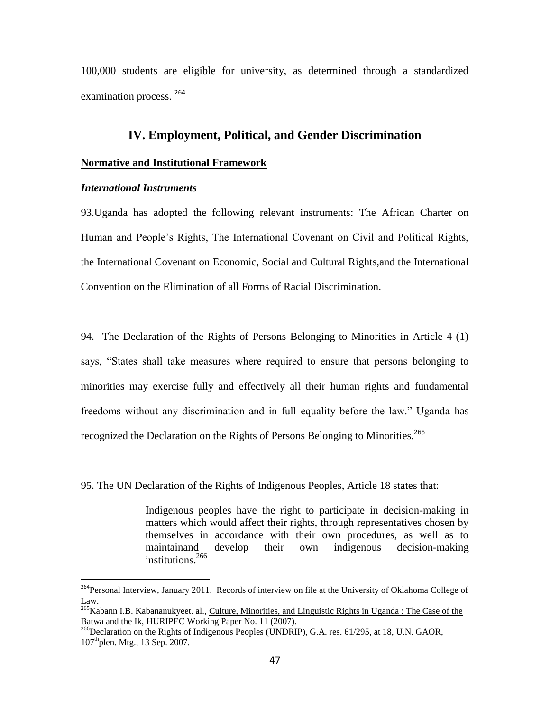100,000 students are eligible for university, as determined through a standardized examination process. <sup>264</sup>

# **IV. Employment, Political, and Gender Discrimination**

#### **Normative and Institutional Framework**

#### *International Instruments*

 $\overline{a}$ 

93.Uganda has adopted the following relevant instruments: The African Charter on Human and People's Rights, The International Covenant on Civil and Political Rights, the International Covenant on Economic, Social and Cultural Rights,and the International Convention on the Elimination of all Forms of Racial Discrimination.

94. The Declaration of the Rights of Persons Belonging to Minorities in Article 4 (1) says, "States shall take measures where required to ensure that persons belonging to minorities may exercise fully and effectively all their human rights and fundamental freedoms without any discrimination and in full equality before the law.‖ Uganda has recognized the Declaration on the Rights of Persons Belonging to Minorities.<sup>265</sup>

95. The UN Declaration of the Rights of Indigenous Peoples, Article 18 states that:

Indigenous peoples have the right to participate in decision-making in matters which would affect their rights, through representatives chosen by themselves in accordance with their own procedures, as well as to maintainand develop their own indigenous decision-making institutions.<sup>266</sup>

<sup>&</sup>lt;sup>264</sup>Personal Interview, January 2011. Records of interview on file at the University of Oklahoma College of Law.

<sup>&</sup>lt;sup>265</sup>Kabann I.B. Kabananukyeet. al., Culture, Minorities, and Linguistic Rights in Uganda : The Case of the Batwa and the Ik, HURIPEC Working Paper No. 11 (2007).

<sup>&</sup>lt;sup>266</sup>Declaration on the Rights of Indigenous Peoples (UNDRIP), G.A. res. 61/295, at 18, U.N. GAOR, 107<sup>th</sup>plen. Mtg., 13 Sep. 2007.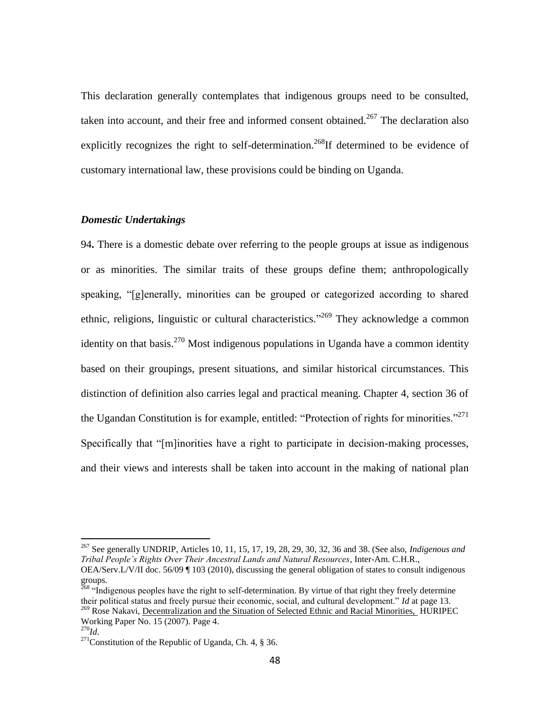This declaration generally contemplates that indigenous groups need to be consulted, taken into account, and their free and informed consent obtained.<sup>267</sup> The declaration also explicitly recognizes the right to self-determination.<sup>268</sup>If determined to be evidence of customary international law, these provisions could be binding on Uganda.

#### *Domestic Undertakings*

94**.** There is a domestic debate over referring to the people groups at issue as indigenous or as minorities. The similar traits of these groups define them; anthropologically speaking, "[g]enerally, minorities can be grouped or categorized according to shared ethnic, religions, linguistic or cultural characteristics."<sup>269</sup> They acknowledge a common identity on that basis.<sup>270</sup> Most indigenous populations in Uganda have a common identity based on their groupings, present situations, and similar historical circumstances. This distinction of definition also carries legal and practical meaning. Chapter 4, section 36 of the Ugandan Constitution is for example, entitled: "Protection of rights for minorities."<sup>271</sup> Specifically that "[m]inorities have a right to participate in decision-making processes, and their views and interests shall be taken into account in the making of national plan

<sup>267</sup> See generally UNDRIP, Articles 10, 11, 15, 17, 19, 28, 29, 30, 32, 36 and 38. (See also, *Indigenous and Tribal People's Rights Over Their Ancestral Lands and Natural Resources*, Inter-Am. C.H.R., OEA/Serv.L/V/II doc. 56/09 ¶ 103 (2010), discussing the general obligation of states to consult indigenous groups.

<sup>&</sup>lt;sup>268</sup> "Indigenous peoples have the right to self-determination. By virtue of that right they freely determine their political status and freely pursue their economic, social, and cultural development." *Id* at page 13. <sup>269</sup> Rose Nakavi, Decentralization and the Situation of Selected Ethnic and Racial Minorities, HURIPEC

Working Paper No. 15 (2007). Page 4.

<sup>270</sup>*Id*.

<sup>&</sup>lt;sup>271</sup>Constitution of the Republic of Uganda, Ch. 4,  $\S$  36.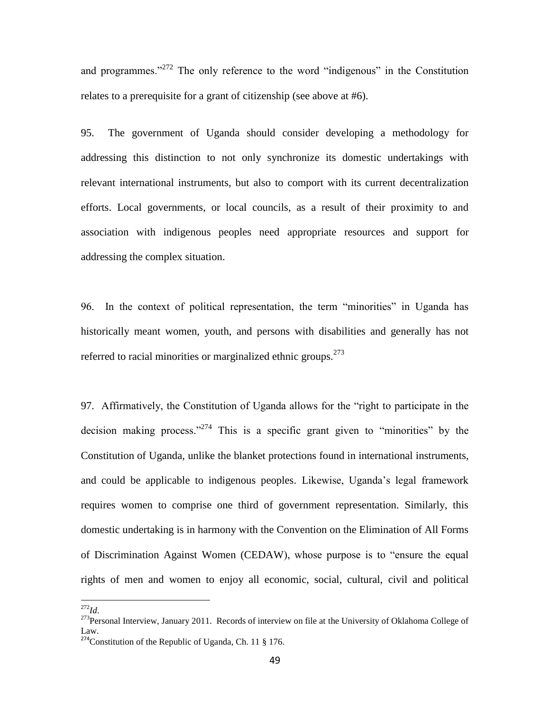and programmes.<sup> $272$ </sup> The only reference to the word "indigenous" in the Constitution relates to a prerequisite for a grant of citizenship (see above at #6).

95. The government of Uganda should consider developing a methodology for addressing this distinction to not only synchronize its domestic undertakings with relevant international instruments, but also to comport with its current decentralization efforts. Local governments, or local councils, as a result of their proximity to and association with indigenous peoples need appropriate resources and support for addressing the complex situation.

96. In the context of political representation, the term "minorities" in Uganda has historically meant women, youth, and persons with disabilities and generally has not referred to racial minorities or marginalized ethnic groups.<sup>273</sup>

97. Affirmatively, the Constitution of Uganda allows for the "right to participate in the decision making process."<sup>274</sup> This is a specific grant given to "minorities" by the Constitution of Uganda, unlike the blanket protections found in international instruments, and could be applicable to indigenous peoples. Likewise, Uganda's legal framework requires women to comprise one third of government representation. Similarly, this domestic undertaking is in harmony with the Convention on the Elimination of All Forms of Discrimination Against Women (CEDAW), whose purpose is to "ensure the equal rights of men and women to enjoy all economic, social, cultural, civil and political

<sup>272</sup>*Id*.

<sup>&</sup>lt;sup>273</sup>Personal Interview, January 2011. Records of interview on file at the University of Oklahoma College of Law.

<sup>&</sup>lt;sup>274</sup>Constitution of the Republic of Uganda, Ch. 11 § 176.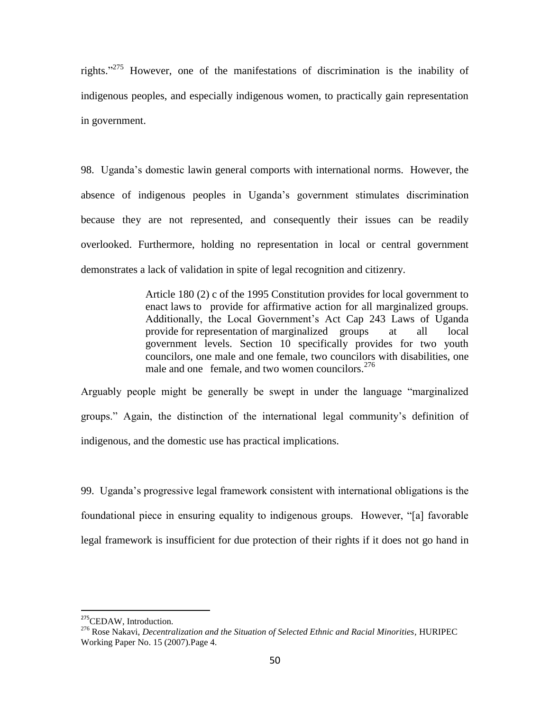rights."<sup>275</sup> However, one of the manifestations of discrimination is the inability of indigenous peoples, and especially indigenous women, to practically gain representation in government.

98. Uganda's domestic lawin general comports with international norms. However, the absence of indigenous peoples in Uganda's government stimulates discrimination because they are not represented, and consequently their issues can be readily overlooked. Furthermore, holding no representation in local or central government demonstrates a lack of validation in spite of legal recognition and citizenry.

> Article 180 (2) c of the 1995 Constitution provides for local government to enact laws to provide for affirmative action for all marginalized groups. Additionally, the Local Government's Act Cap 243 Laws of Uganda provide for representation of marginalized groups at all local government levels. Section 10 specifically provides for two youth councilors, one male and one female, two councilors with disabilities, one male and one female, and two women councilors. $276$

Arguably people might be generally be swept in under the language "marginalized" groups.‖ Again, the distinction of the international legal community's definition of indigenous, and the domestic use has practical implications.

99. Uganda's progressive legal framework consistent with international obligations is the foundational piece in ensuring equality to indigenous groups. However, "[a] favorable legal framework is insufficient for due protection of their rights if it does not go hand in

<sup>&</sup>lt;sup>275</sup>CEDAW, Introduction.

<sup>276</sup> Rose Nakavi, *Decentralization and the Situation of Selected Ethnic and Racial Minorities,* HURIPEC Working Paper No. 15 (2007).Page 4.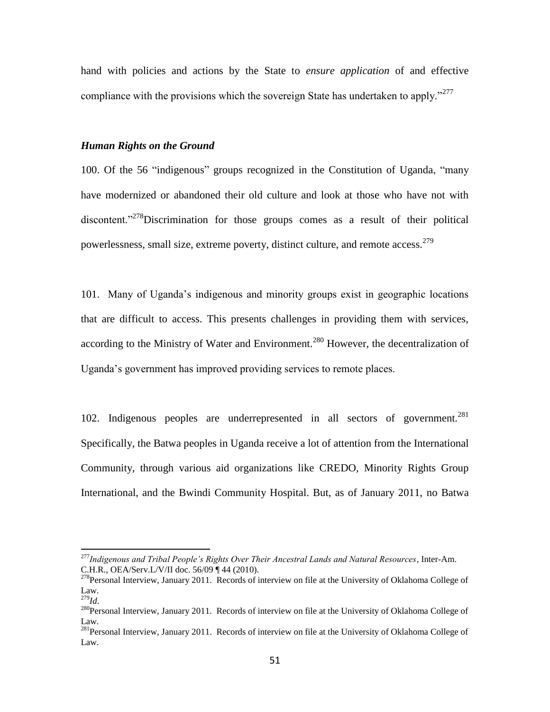hand with policies and actions by the State to *ensure application* of and effective compliance with the provisions which the sovereign State has undertaken to apply."<sup>277</sup>

#### *Human Rights on the Ground*

100. Of the 56 "indigenous" groups recognized in the Constitution of Uganda, "many have modernized or abandoned their old culture and look at those who have not with discontent.<sup>278</sup>Discrimination for those groups comes as a result of their political powerlessness, small size, extreme poverty, distinct culture, and remote access.<sup>279</sup>

101. Many of Uganda's indigenous and minority groups exist in geographic locations that are difficult to access. This presents challenges in providing them with services, according to the Ministry of Water and Environment.<sup>280</sup> However, the decentralization of Uganda's government has improved providing services to remote places.

102. Indigenous peoples are underrepresented in all sectors of government.<sup>281</sup> Specifically, the Batwa peoples in Uganda receive a lot of attention from the International Community, through various aid organizations like CREDO, Minority Rights Group International, and the Bwindi Community Hospital. But, as of January 2011, no Batwa

<sup>277</sup>*Indigenous and Tribal People's Rights Over Their Ancestral Lands and Natural Resources*, Inter-Am. C.H.R., OEA/Serv.L/V/II doc. 56/09 ¶ 44 (2010).

<sup>&</sup>lt;sup>278</sup>Personal Interview, January 2011. Records of interview on file at the University of Oklahoma College of Law.

<sup>279</sup>*Id*.

<sup>&</sup>lt;sup>280</sup>Personal Interview, January 2011. Records of interview on file at the University of Oklahoma College of Law.

<sup>&</sup>lt;sup>281</sup>Personal Interview, January 2011. Records of interview on file at the University of Oklahoma College of Law.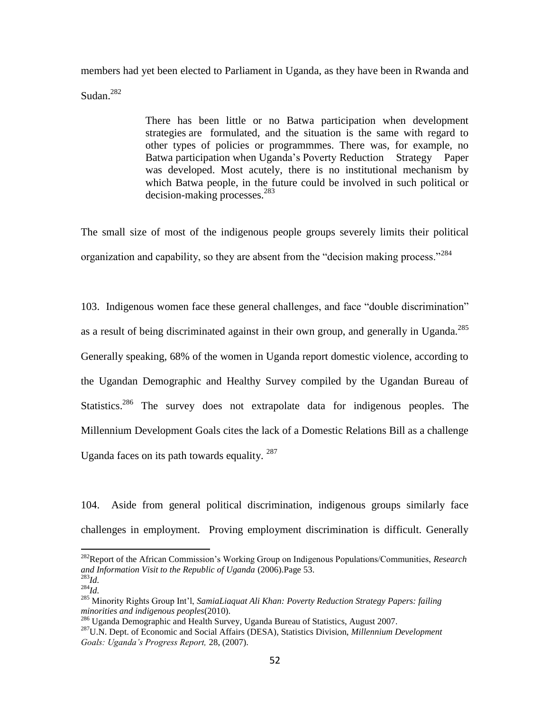members had yet been elected to Parliament in Uganda, as they have been in Rwanda and Sudan.<sup>282</sup>

> There has been little or no Batwa participation when development strategies are formulated, and the situation is the same with regard to other types of policies or programmmes. There was, for example, no Batwa participation when Uganda's Poverty Reduction Strategy Paper was developed. Most acutely, there is no institutional mechanism by which Batwa people, in the future could be involved in such political or decision-making processes.<sup>283</sup>

The small size of most of the indigenous people groups severely limits their political organization and capability, so they are absent from the "decision making process."<sup>284</sup>

103. Indigenous women face these general challenges, and face "double discrimination" as a result of being discriminated against in their own group, and generally in Uganda.<sup>285</sup> Generally speaking, 68% of the women in Uganda report domestic violence, according to the Ugandan Demographic and Healthy Survey compiled by the Ugandan Bureau of Statistics.<sup>286</sup> The survey does not extrapolate data for indigenous peoples. The Millennium Development Goals cites the lack of a Domestic Relations Bill as a challenge Uganda faces on its path towards equality. <sup>287</sup>

104. Aside from general political discrimination, indigenous groups similarly face challenges in employment. Proving employment discrimination is difficult. Generally

<sup>282</sup>Report of the African Commission's Working Group on Indigenous Populations/Communities, *Research and Information Visit to the Republic of Uganda* (2006).Page 53.

<sup>283</sup>*Id.* <sup>284</sup>*Id.*

<sup>285</sup> Minority Rights Group Int'l, *SamiaLiaquat Ali Khan: Poverty Reduction Strategy Papers: failing minorities and indigenous peoples*(2010).

<sup>286</sup> Uganda Demographic and Health Survey, Uganda Bureau of Statistics, August 2007. <sup>287</sup>U.N. Dept. of Economic and Social Affairs (DESA), Statistics Division, *Millennium Development Goals: Uganda's Progress Report,* 28, (2007).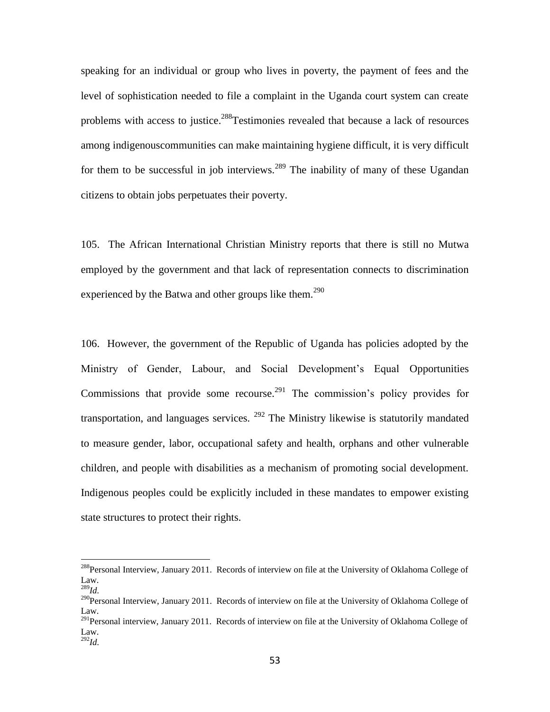speaking for an individual or group who lives in poverty, the payment of fees and the level of sophistication needed to file a complaint in the Uganda court system can create problems with access to justice.<sup>288</sup>Testimonies revealed that because a lack of resources among indigenouscommunities can make maintaining hygiene difficult, it is very difficult for them to be successful in job interviews.<sup>289</sup> The inability of many of these Ugandan citizens to obtain jobs perpetuates their poverty.

105. The African International Christian Ministry reports that there is still no Mutwa employed by the government and that lack of representation connects to discrimination experienced by the Batwa and other groups like them.<sup>290</sup>

106. However, the government of the Republic of Uganda has policies adopted by the Ministry of Gender, Labour, and Social Development's Equal Opportunities Commissions that provide some recourse.<sup>291</sup> The commission's policy provides for transportation, and languages services.  $292$  The Ministry likewise is statutorily mandated to measure gender, labor, occupational safety and health, orphans and other vulnerable children, and people with disabilities as a mechanism of promoting social development. Indigenous peoples could be explicitly included in these mandates to empower existing state structures to protect their rights.

<sup>&</sup>lt;sup>288</sup>Personal Interview, January 2011. Records of interview on file at the University of Oklahoma College of Law.

<sup>289</sup>*Id.*

<sup>&</sup>lt;sup>290</sup>Personal Interview, January 2011. Records of interview on file at the University of Oklahoma College of Law.

<sup>&</sup>lt;sup>291</sup>Personal interview, January 2011. Records of interview on file at the University of Oklahoma College of Law.

<sup>292</sup>*Id.*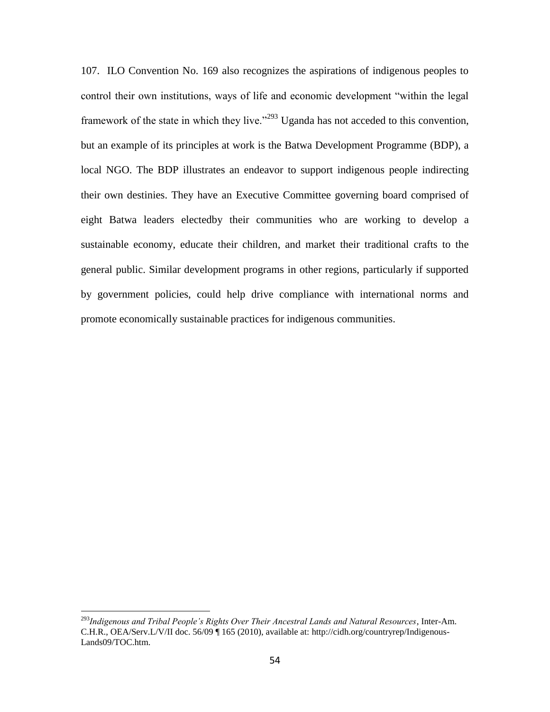107. ILO Convention No. 169 also recognizes the aspirations of indigenous peoples to control their own institutions, ways of life and economic development "within the legal framework of the state in which they live.<sup> $293$ </sup> Uganda has not acceded to this convention, but an example of its principles at work is the Batwa Development Programme (BDP), a local NGO. The BDP illustrates an endeavor to support indigenous people indirecting their own destinies. They have an Executive Committee governing board comprised of eight Batwa leaders electedby their communities who are working to develop a sustainable economy, educate their children, and market their traditional crafts to the general public. Similar development programs in other regions, particularly if supported by government policies, could help drive compliance with international norms and promote economically sustainable practices for indigenous communities.

<sup>293</sup>*Indigenous and Tribal People's Rights Over Their Ancestral Lands and Natural Resources*, Inter-Am. C.H.R., OEA/Serv.L/V/II doc. 56/09 ¶ 165 (2010), available at: http://cidh.org/countryrep/Indigenous-Lands09/TOC.htm.